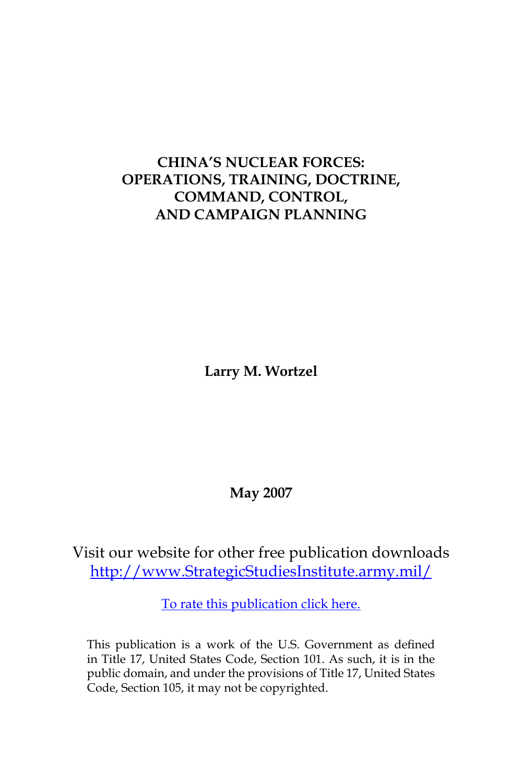# **CHINA'S NUCLEAR FORCES: OPERATIONS, TRAINING, DOCTRINE, COMMAND, CONTROL, AND CAMPAIGN PLANNING**

**Larry M. Wortzel**

**May 2007**

Visit our website for other free publication downloads [http://www.StrategicStudiesInstitute.army.mil/](http://www.StrategicStudiesInstitute.army.mil)

[To rate this publication click here.](http://www.strategicstudiesinstitute.army.mil/pubs/display.cfm?pubID=776)

This publication is a work of the U.S. Government as defined in Title 17, United States Code, Section 101. As such, it is in the public domain, and under the provisions of Title 17, United States Code, Section 105, it may not be copyrighted.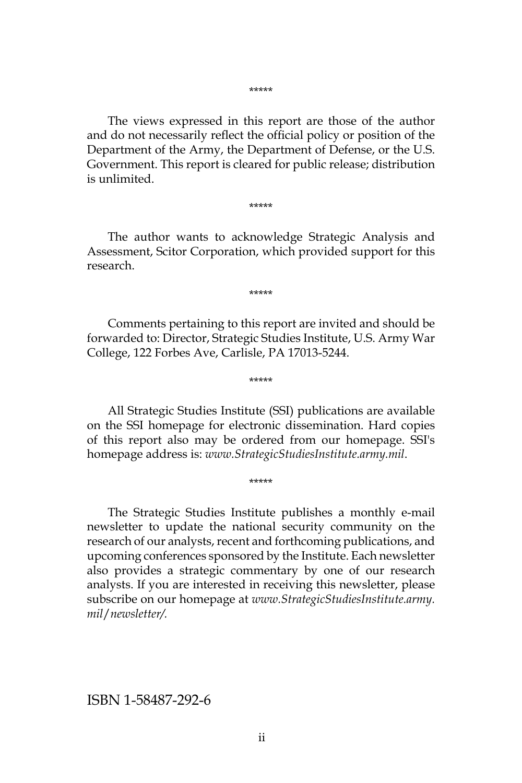\*\*\*\*\*

The views expressed in this report are those of the author and do not necessarily reflect the official policy or position of the Department of the Army, the Department of Defense, or the U.S. Government. This report is cleared for public release; distribution is unlimited.

\*\*\*\*\*

The author wants to acknowledge Strategic Analysis and Assessment, Scitor Corporation, which provided support for this research.

\*\*\*\*\*

Comments pertaining to this report are invited and should be forwarded to: Director, Strategic Studies Institute, U.S. Army War College, 122 Forbes Ave, Carlisle, PA 17013-5244.

\*\*\*\*\*

All Strategic Studies Institute (SSI) publications are available on the SSI homepage for electronic dissemination. Hard copies of this report also may be ordered from our homepage. SSI's homepage address is: *www.StrategicStudiesInstitute.army.mil*.

\*\*\*\*\*

The Strategic Studies Institute publishes a monthly e-mail newsletter to update the national security community on the research of our analysts, recent and forthcoming publications, and upcoming conferences sponsored by the Institute. Each newsletter also provides a strategic commentary by one of our research analysts. If you are interested in receiving this newsletter, please subscribe on our homepage at *www.StrategicStudiesInstitute.army. mil*/*newsletter/.*

ISBN 1-58487-292-6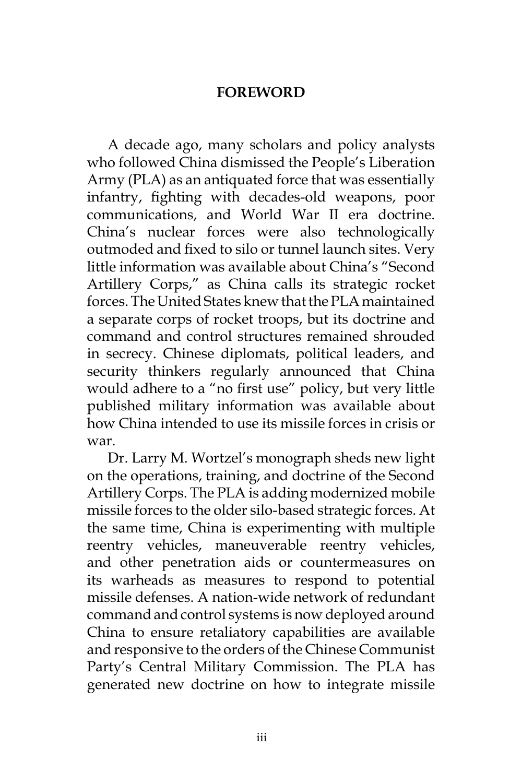### **FOREWORD**

A decade ago, many scholars and policy analysts who followed China dismissed the People's Liberation Army (PLA) as an antiquated force that was essentially infantry, fighting with decades-old weapons, poor communications, and World War II era doctrine. China's nuclear forces were also technologically outmoded and fixed to silo or tunnel launch sites. Very little information was available about China's "Second Artillery Corps," as China calls its strategic rocket forces. The United States knew that the PLA maintained a separate corps of rocket troops, but its doctrine and command and control structures remained shrouded in secrecy. Chinese diplomats, political leaders, and security thinkers regularly announced that China would adhere to a "no first use" policy, but very little published military information was available about how China intended to use its missile forces in crisis or war.

Dr. Larry M. Wortzel's monograph sheds new light on the operations, training, and doctrine of the Second Artillery Corps. The PLA is adding modernized mobile missile forces to the older silo-based strategic forces. At the same time, China is experimenting with multiple reentry vehicles, maneuverable reentry vehicles, and other penetration aids or countermeasures on its warheads as measures to respond to potential missile defenses. A nation-wide network of redundant command and control systems is now deployed around China to ensure retaliatory capabilities are available and responsive to the orders of the Chinese Communist Party's Central Military Commission. The PLA has generated new doctrine on how to integrate missile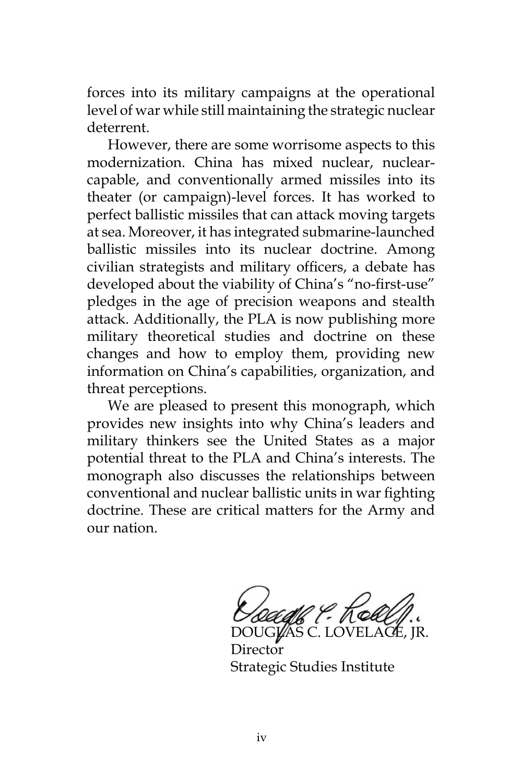forces into its military campaigns at the operational level of war while still maintaining the strategic nuclear deterrent.

However, there are some worrisome aspects to this modernization. China has mixed nuclear, nuclearcapable, and conventionally armed missiles into its theater (or campaign)-level forces. It has worked to perfect ballistic missiles that can attack moving targets at sea. Moreover, it has integrated submarine-launched ballistic missiles into its nuclear doctrine. Among civilian strategists and military officers, a debate has developed about the viability of China's "no-first-use" pledges in the age of precision weapons and stealth attack. Additionally, the PLA is now publishing more military theoretical studies and doctrine on these changes and how to employ them, providing new information on China's capabilities, organization, and threat perceptions.

We are pleased to present this monograph, which provides new insights into why China's leaders and military thinkers see the United States as a major potential threat to the PLA and China's interests. The monograph also discusses the relationships between conventional and nuclear ballistic units in war fighting doctrine. These are critical matters for the Army and our nation.

DOUGLAS C. LOV

Director Strategic Studies Institute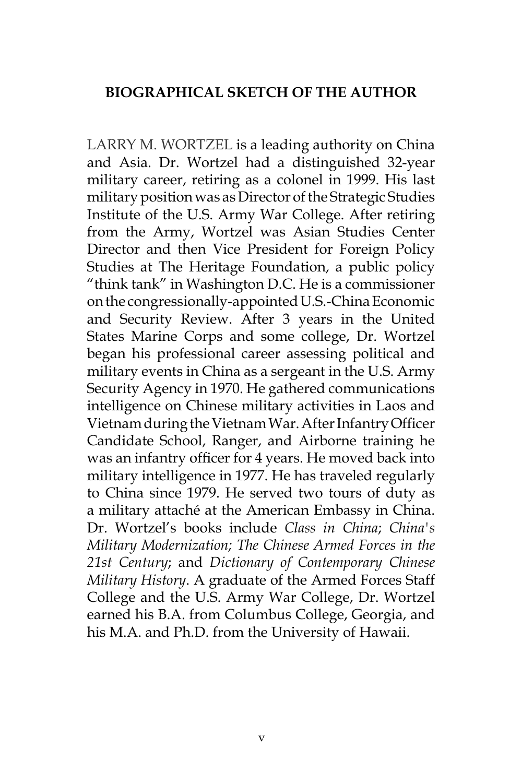### **BIOGRAPHICAL SKETCH OF THE AUTHOR**

LARRY M. WORTZEL is a leading authority on China and Asia. Dr. Wortzel had a distinguished 32-year military career, retiring as a colonel in 1999. His last military position was as Director of the Strategic Studies Institute of the U.S. Army War College. After retiring from the Army, Wortzel was Asian Studies Center Director and then Vice President for Foreign Policy Studies at The Heritage Foundation, a public policy "think tank" in Washington D.C. He is a commissioner on the congressionally-appointed U.S.-China Economic and Security Review. After 3 years in the United States Marine Corps and some college, Dr. Wortzel began his professional career assessing political and military events in China as a sergeant in the U.S. Army Security Agency in 1970. He gathered communications intelligence on Chinese military activities in Laos and Vietnam during the Vietnam War. After Infantry Officer Candidate School, Ranger, and Airborne training he was an infantry officer for 4 years. He moved back into military intelligence in 1977. He has traveled regularly to China since 1979. He served two tours of duty as a military attaché at the American Embassy in China. Dr. Wortzel's books include *Class in China*; *China's Military Modernization; The Chinese Armed Forces in the 21st Century*; and *Dictionary of Contemporary Chinese Military History*. A graduate of the Armed Forces Staff College and the U.S. Army War College, Dr. Wortzel earned his B.A. from Columbus College, Georgia, and his M.A. and Ph.D. from the University of Hawaii.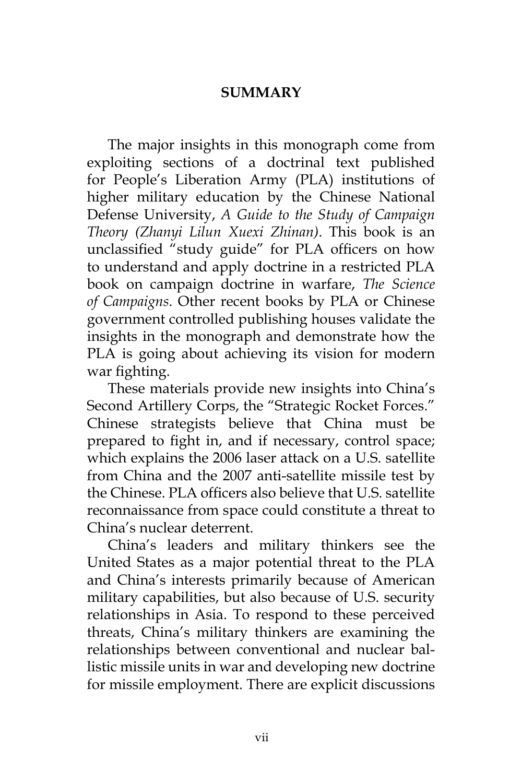## **SUMMARY**

The major insights in this monograph come from exploiting sections of a doctrinal text published for People's Liberation Army (PLA) institutions of higher military education by the Chinese National Defense University, *A Guide to the Study of Campaign Theory (Zhanyi Lilun Xuexi Zhinan)*. This book is an unclassified "study guide" for PLA officers on how to understand and apply doctrine in a restricted PLA book on campaign doctrine in warfare, *The Science of Campaigns*. Other recent books by PLA or Chinese government controlled publishing houses validate the insights in the monograph and demonstrate how the PLA is going about achieving its vision for modern war fighting.

These materials provide new insights into China's Second Artillery Corps, the "Strategic Rocket Forces." Chinese strategists believe that China must be prepared to fight in, and if necessary, control space; which explains the 2006 laser attack on a U.S. satellite from China and the 2007 anti-satellite missile test by the Chinese. PLA officers also believe that U.S. satellite reconnaissance from space could constitute a threat to China's nuclear deterrent.

China's leaders and military thinkers see the United States as a major potential threat to the PLA and China's interests primarily because of American military capabilities, but also because of U.S. security relationships in Asia. To respond to these perceived threats, China's military thinkers are examining the relationships between conventional and nuclear ballistic missile units in war and developing new doctrine for missile employment. There are explicit discussions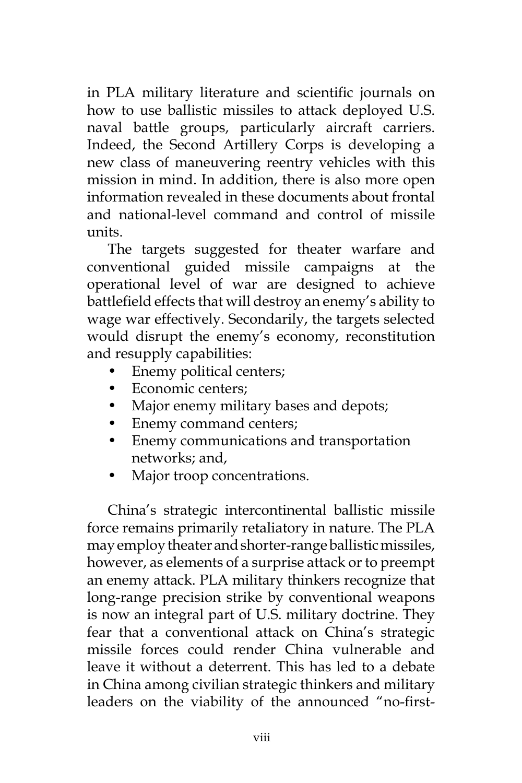in PLA military literature and scientific journals on how to use ballistic missiles to attack deployed U.S. naval battle groups, particularly aircraft carriers. Indeed, the Second Artillery Corps is developing a new class of maneuvering reentry vehicles with this mission in mind. In addition, there is also more open information revealed in these documents about frontal and national-level command and control of missile units.

The targets suggested for theater warfare and conventional guided missile campaigns at the operational level of war are designed to achieve battlefield effects that will destroy an enemy's ability to wage war effectively. Secondarily, the targets selected would disrupt the enemy's economy, reconstitution and resupply capabilities:

- Enemy political centers;
- Economic centers;
- Major enemy military bases and depots;
- Enemy command centers;
- Enemy communications and transportation networks; and,
- Major troop concentrations.

China's strategic intercontinental ballistic missile force remains primarily retaliatory in nature. The PLA may employ theater and shorter-range ballistic missiles, however, as elements of a surprise attack or to preempt an enemy attack. PLA military thinkers recognize that long-range precision strike by conventional weapons is now an integral part of U.S. military doctrine. They fear that a conventional attack on China's strategic missile forces could render China vulnerable and leave it without a deterrent. This has led to a debate in China among civilian strategic thinkers and military leaders on the viability of the announced "no-first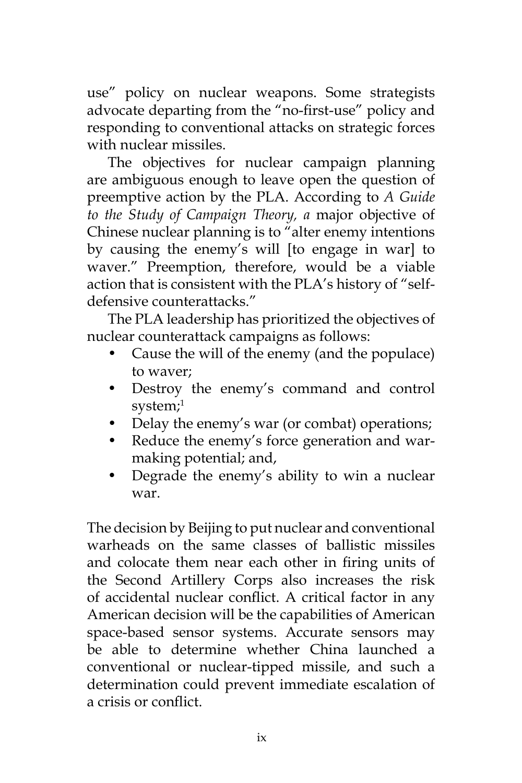use" policy on nuclear weapons. Some strategists advocate departing from the "no-first-use" policy and responding to conventional attacks on strategic forces with nuclear missiles.

The objectives for nuclear campaign planning are ambiguous enough to leave open the question of preemptive action by the PLA. According to *A Guide to the Study of Campaign Theory, a* major objective of Chinese nuclear planning is to "alter enemy intentions by causing the enemy's will [to engage in war] to waver." Preemption, therefore, would be a viable action that is consistent with the PLA's history of "selfdefensive counterattacks."

The PLA leadership has prioritized the objectives of nuclear counterattack campaigns as follows:

- Cause the will of the enemy (and the populace) to waver;
- Destroy the enemy's command and control system;<sup>1</sup>
- Delay the enemy's war (or combat) operations;
- Reduce the enemy's force generation and warmaking potential; and,
- Degrade the enemy's ability to win a nuclear war.

The decision by Beijing to put nuclear and conventional warheads on the same classes of ballistic missiles and colocate them near each other in firing units of the Second Artillery Corps also increases the risk of accidental nuclear conflict. A critical factor in any American decision will be the capabilities of American space-based sensor systems. Accurate sensors may be able to determine whether China launched a conventional or nuclear-tipped missile, and such a determination could prevent immediate escalation of a crisis or conflict.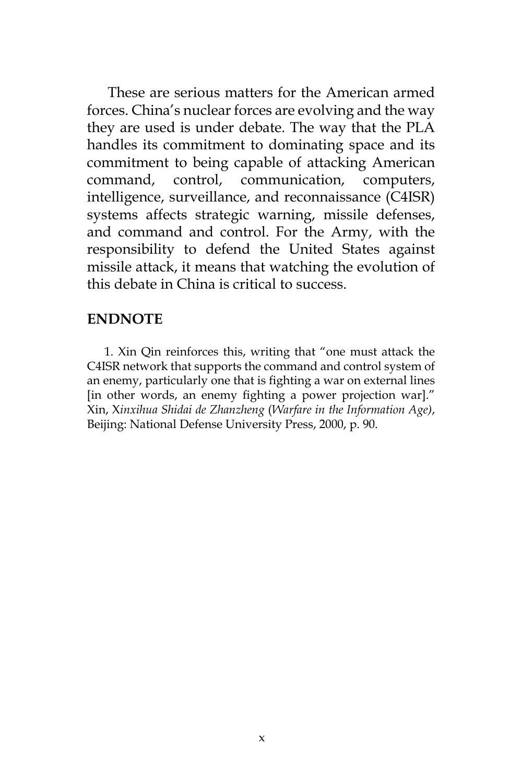These are serious matters for the American armed forces. China's nuclear forces are evolving and the way they are used is under debate. The way that the PLA handles its commitment to dominating space and its commitment to being capable of attacking American command, control, communication, computers, intelligence, surveillance, and reconnaissance (C4ISR) systems affects strategic warning, missile defenses, and command and control. For the Army, with the responsibility to defend the United States against missile attack, it means that watching the evolution of this debate in China is critical to success.

#### **ENDNOTE**

1. Xin Qin reinforces this, writing that "one must attack the C4ISR network that supports the command and control system of an enemy, particularly one that is fighting a war on external lines [in other words, an enemy fighting a power projection war]." Xin, X*inxihua Shidai de Zhanzheng* (*Warfare in the Information Age)*, Beijing: National Defense University Press, 2000, p. 90.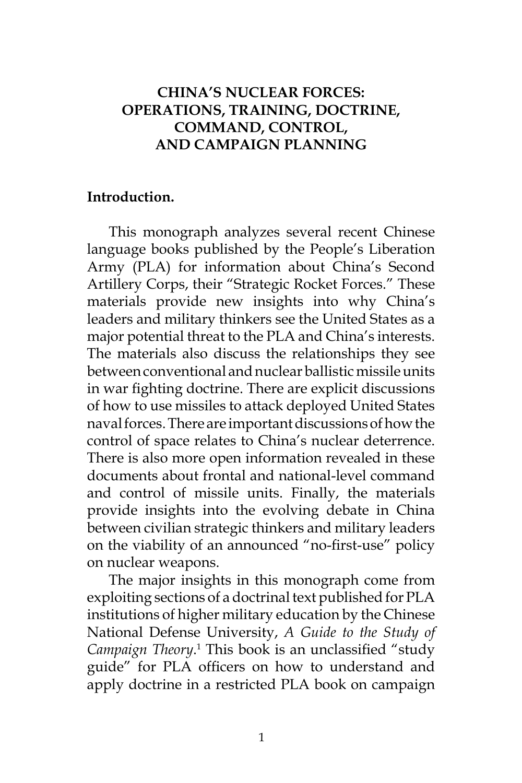# **CHINA'S NUCLEAR FORCES: OPERATIONS, TRAINING, DOCTRINE, COMMAND, CONTROL, AND CAMPAIGN PLANNING**

### **Introduction.**

This monograph analyzes several recent Chinese language books published by the People's Liberation Army (PLA) for information about China's Second Artillery Corps, their "Strategic Rocket Forces." These materials provide new insights into why China's leaders and military thinkers see the United States as a major potential threat to the PLA and China's interests. The materials also discuss the relationships they see between conventional and nuclear ballistic missile units in war fighting doctrine. There are explicit discussions of how to use missiles to attack deployed United States naval forces. There are important discussions of how the control of space relates to China's nuclear deterrence. There is also more open information revealed in these documents about frontal and national-level command and control of missile units. Finally, the materials provide insights into the evolving debate in China between civilian strategic thinkers and military leaders on the viability of an announced "no-first-use" policy on nuclear weapons.

The major insights in this monograph come from exploiting sections of a doctrinal text published for PLA institutions of higher military education by the Chinese National Defense University, *A Guide to the Study of*  Campaign Theory.<sup>1</sup> This book is an unclassified "study guide" for PLA officers on how to understand and apply doctrine in a restricted PLA book on campaign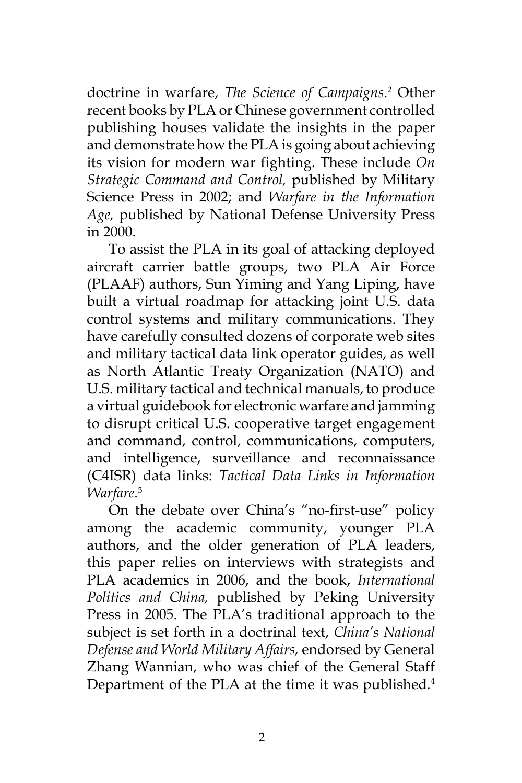doctrine in warfare, *The Science of Campaigns*. 2 Other recent books by PLA or Chinese government controlled publishing houses validate the insights in the paper and demonstrate how the PLA is going about achieving its vision for modern war fighting. These include *On Strategic Command and Control,* published by Military Science Press in 2002; and *Warfare in the Information Age,* published by National Defense University Press in 2000.

To assist the PLA in its goal of attacking deployed aircraft carrier battle groups, two PLA Air Force (PLAAF) authors, Sun Yiming and Yang Liping, have built a virtual roadmap for attacking joint U.S. data control systems and military communications. They have carefully consulted dozens of corporate web sites and military tactical data link operator guides, as well as North Atlantic Treaty Organization (NATO) and U.S. military tactical and technical manuals, to produce a virtual guidebook for electronic warfare and jamming to disrupt critical U.S. cooperative target engagement and command, control, communications, computers, and intelligence, surveillance and reconnaissance (C4ISR) data links: *Tactical Data Links in Information Warfare.*<sup>3</sup>

On the debate over China's "no-first-use" policy among the academic community, younger PLA authors, and the older generation of PLA leaders, this paper relies on interviews with strategists and PLA academics in 2006, and the book, *International Politics and China,* published by Peking University Press in 2005. The PLA's traditional approach to the subject is set forth in a doctrinal text, *China's National Defense and World Military Affairs,* endorsed by General Zhang Wannian, who was chief of the General Staff Department of the PLA at the time it was published*.* 4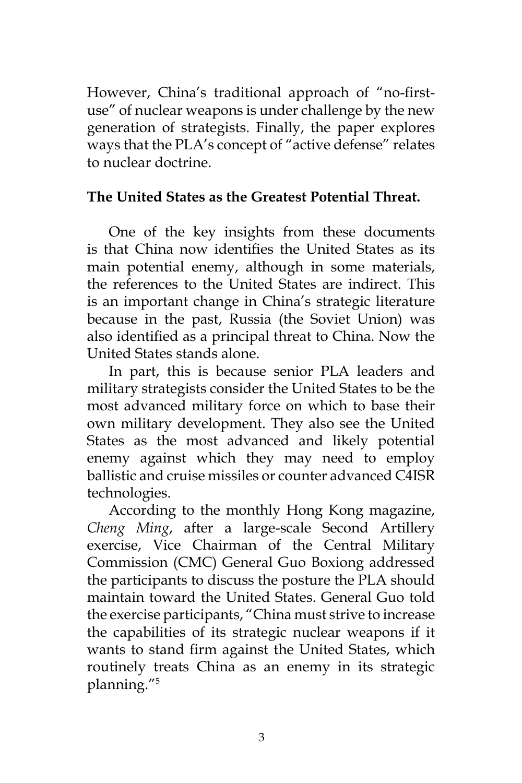However, China's traditional approach of "no-firstuse" of nuclear weapons is under challenge by the new generation of strategists. Finally, the paper explores ways that the PLA's concept of "active defense" relates to nuclear doctrine.

# **The United States as the Greatest Potential Threat.**

One of the key insights from these documents is that China now identifies the United States as its main potential enemy, although in some materials, the references to the United States are indirect. This is an important change in China's strategic literature because in the past, Russia (the Soviet Union) was also identified as a principal threat to China. Now the United States stands alone.

In part, this is because senior PLA leaders and military strategists consider the United States to be the most advanced military force on which to base their own military development. They also see the United States as the most advanced and likely potential enemy against which they may need to employ ballistic and cruise missiles or counter advanced C4ISR technologies.

According to the monthly Hong Kong magazine, *Cheng Ming*, after a large-scale Second Artillery exercise, Vice Chairman of the Central Military Commission (CMC) General Guo Boxiong addressed the participants to discuss the posture the PLA should maintain toward the United States. General Guo told the exercise participants, "China must strive to increase the capabilities of its strategic nuclear weapons if it wants to stand firm against the United States, which routinely treats China as an enemy in its strategic planning."5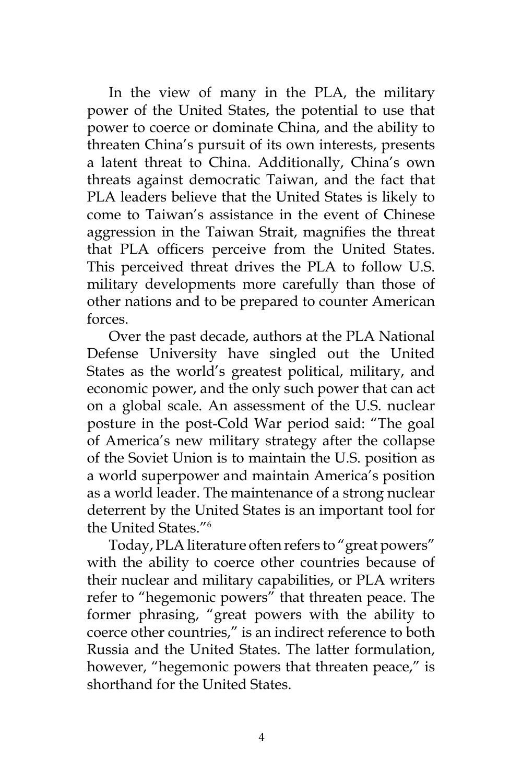In the view of many in the PLA, the military power of the United States, the potential to use that power to coerce or dominate China, and the ability to threaten China's pursuit of its own interests, presents a latent threat to China. Additionally, China's own threats against democratic Taiwan, and the fact that PLA leaders believe that the United States is likely to come to Taiwan's assistance in the event of Chinese aggression in the Taiwan Strait, magnifies the threat that PLA officers perceive from the United States. This perceived threat drives the PLA to follow U.S. military developments more carefully than those of other nations and to be prepared to counter American forces.

Over the past decade, authors at the PLA National Defense University have singled out the United States as the world's greatest political, military, and economic power, and the only such power that can act on a global scale. An assessment of the U.S. nuclear posture in the post-Cold War period said: "The goal of America's new military strategy after the collapse of the Soviet Union is to maintain the U.S. position as a world superpower and maintain America's position as a world leader. The maintenance of a strong nuclear deterrent by the United States is an important tool for the United States."6

Today, PLA literature often refers to "great powers" with the ability to coerce other countries because of their nuclear and military capabilities, or PLA writers refer to "hegemonic powers" that threaten peace. The former phrasing, "great powers with the ability to coerce other countries," is an indirect reference to both Russia and the United States. The latter formulation, however, "hegemonic powers that threaten peace," is shorthand for the United States.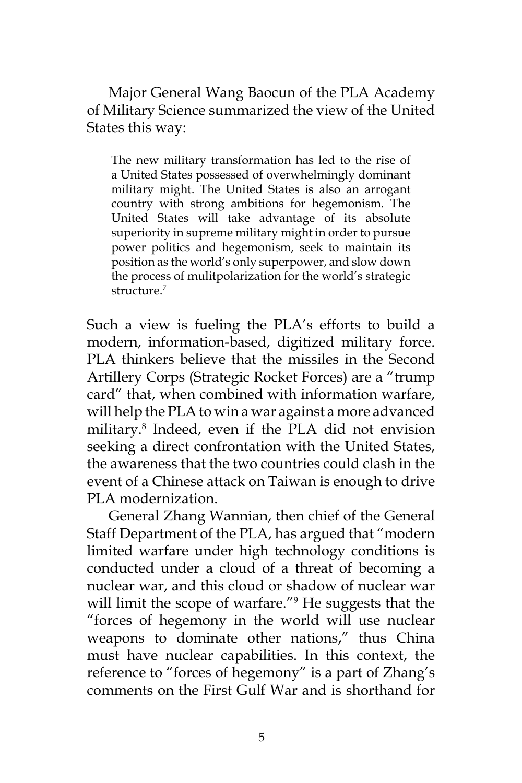Major General Wang Baocun of the PLA Academy of Military Science summarized the view of the United States this way:

The new military transformation has led to the rise of a United States possessed of overwhelmingly dominant military might. The United States is also an arrogant country with strong ambitions for hegemonism. The United States will take advantage of its absolute superiority in supreme military might in order to pursue power politics and hegemonism, seek to maintain its position as the world's only superpower, and slow down the process of mulitpolarization for the world's strategic structure.7

Such a view is fueling the PLA's efforts to build a modern, information-based, digitized military force. PLA thinkers believe that the missiles in the Second Artillery Corps (Strategic Rocket Forces) are a "trump card" that, when combined with information warfare, will help the PLA to win a war against a more advanced military.8 Indeed, even if the PLA did not envision seeking a direct confrontation with the United States, the awareness that the two countries could clash in the event of a Chinese attack on Taiwan is enough to drive PLA modernization.

General Zhang Wannian, then chief of the General Staff Department of the PLA, has argued that "modern limited warfare under high technology conditions is conducted under a cloud of a threat of becoming a nuclear war, and this cloud or shadow of nuclear war will limit the scope of warfare."<sup>9</sup> He suggests that the "forces of hegemony in the world will use nuclear weapons to dominate other nations," thus China must have nuclear capabilities. In this context, the reference to "forces of hegemony" is a part of Zhang's comments on the First Gulf War and is shorthand for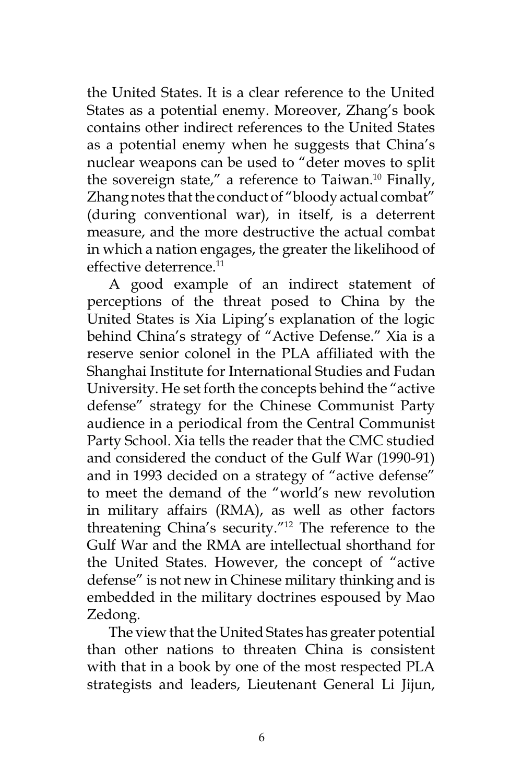the United States. It is a clear reference to the United States as a potential enemy. Moreover, Zhang's book contains other indirect references to the United States as a potential enemy when he suggests that China's nuclear weapons can be used to "deter moves to split the sovereign state," a reference to Taiwan.<sup>10</sup> Finally, Zhang notes that the conduct of "bloody actual combat" (during conventional war), in itself, is a deterrent measure, and the more destructive the actual combat in which a nation engages, the greater the likelihood of effective deterrence.<sup>11</sup>

A good example of an indirect statement of perceptions of the threat posed to China by the United States is Xia Liping's explanation of the logic behind China's strategy of "Active Defense." Xia is a reserve senior colonel in the PLA affiliated with the Shanghai Institute for International Studies and Fudan University. He set forth the concepts behind the "active defense" strategy for the Chinese Communist Party audience in a periodical from the Central Communist Party School. Xia tells the reader that the CMC studied and considered the conduct of the Gulf War (1990-91) and in 1993 decided on a strategy of "active defense" to meet the demand of the "world's new revolution in military affairs (RMA), as well as other factors threatening China's security."12 The reference to the Gulf War and the RMA are intellectual shorthand for the United States. However, the concept of "active defense" is not new in Chinese military thinking and is embedded in the military doctrines espoused by Mao Zedong.

The view that the United States has greater potential than other nations to threaten China is consistent with that in a book by one of the most respected PLA strategists and leaders, Lieutenant General Li Jijun,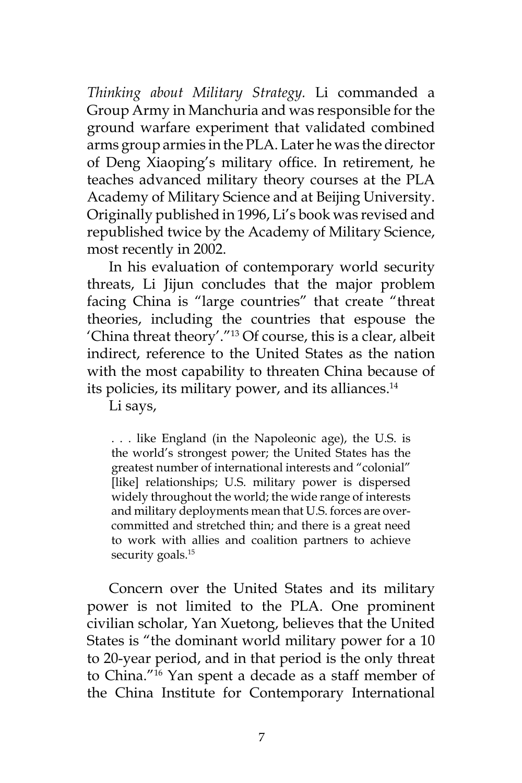*Thinking about Military Strategy.* Li commanded a Group Army in Manchuria and was responsible for the ground warfare experiment that validated combined arms group armies in the PLA. Later he was the director of Deng Xiaoping's military office. In retirement, he teaches advanced military theory courses at the PLA Academy of Military Science and at Beijing University. Originally published in 1996, Li's book was revised and republished twice by the Academy of Military Science, most recently in 2002.

In his evaluation of contemporary world security threats, Li Jijun concludes that the major problem facing China is "large countries" that create "threat theories, including the countries that espouse the 'China threat theory'."13 Of course, this is a clear, albeit indirect, reference to the United States as the nation with the most capability to threaten China because of its policies, its military power, and its alliances.<sup>14</sup>

Li says,

. . . like England (in the Napoleonic age), the U.S. is the world's strongest power; the United States has the greatest number of international interests and "colonial" [like] relationships; U.S. military power is dispersed widely throughout the world; the wide range of interests and military deployments mean that U.S. forces are overcommitted and stretched thin; and there is a great need to work with allies and coalition partners to achieve security goals.<sup>15</sup>

Concern over the United States and its military power is not limited to the PLA. One prominent civilian scholar, Yan Xuetong, believes that the United States is "the dominant world military power for a 10 to 20-year period, and in that period is the only threat to China."16 Yan spent a decade as a staff member of the China Institute for Contemporary International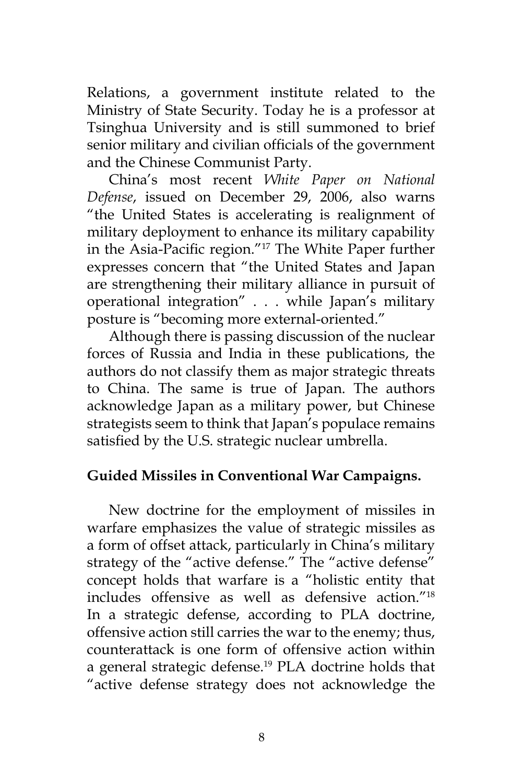Relations, a government institute related to the Ministry of State Security. Today he is a professor at Tsinghua University and is still summoned to brief senior military and civilian officials of the government and the Chinese Communist Party.

China's most recent *White Paper on National Defense*, issued on December 29, 2006, also warns "the United States is accelerating is realignment of military deployment to enhance its military capability in the Asia-Pacific region."17 The White Paper further expresses concern that "the United States and Japan are strengthening their military alliance in pursuit of operational integration" . . . while Japan's military posture is "becoming more external-oriented."

Although there is passing discussion of the nuclear forces of Russia and India in these publications, the authors do not classify them as major strategic threats to China. The same is true of Japan. The authors acknowledge Japan as a military power, but Chinese strategists seem to think that Japan's populace remains satisfied by the U.S. strategic nuclear umbrella.

## **Guided Missiles in Conventional War Campaigns.**

New doctrine for the employment of missiles in warfare emphasizes the value of strategic missiles as a form of offset attack, particularly in China's military strategy of the "active defense." The "active defense" concept holds that warfare is a "holistic entity that includes offensive as well as defensive action."18 In a strategic defense, according to PLA doctrine, offensive action still carries the war to the enemy; thus, counterattack is one form of offensive action within a general strategic defense.<sup>19</sup> PLA doctrine holds that "active defense strategy does not acknowledge the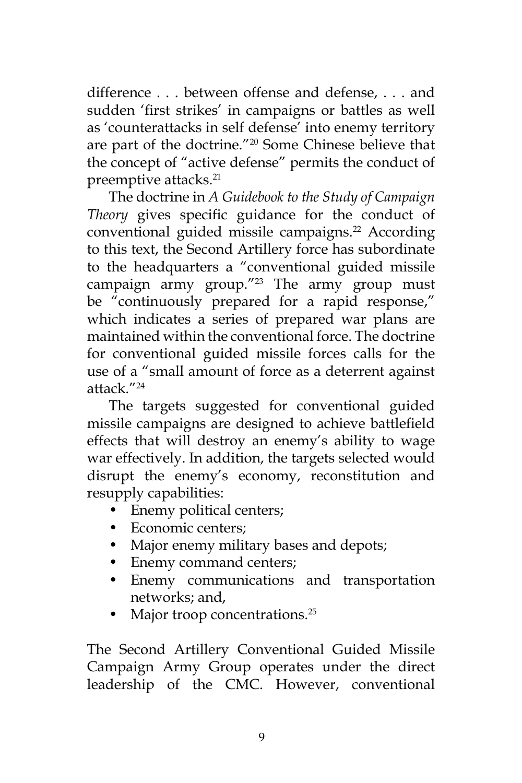difference . . . between offense and defense, . . . and sudden 'first strikes' in campaigns or battles as well as 'counterattacks in self defense' into enemy territory are part of the doctrine."20 Some Chinese believe that the concept of "active defense" permits the conduct of preemptive attacks.<sup>21</sup>

The doctrine in *A Guidebook to the Study of Campaign Theory* gives specific guidance for the conduct of conventional guided missile campaigns.<sup>22</sup> According to this text, the Second Artillery force has subordinate to the headquarters a "conventional guided missile campaign army group." $23$  The army group must be "continuously prepared for a rapid response," which indicates a series of prepared war plans are maintained within the conventional force. The doctrine for conventional guided missile forces calls for the use of a "small amount of force as a deterrent against attack."24

The targets suggested for conventional guided missile campaigns are designed to achieve battlefield effects that will destroy an enemy's ability to wage war effectively. In addition, the targets selected would disrupt the enemy's economy, reconstitution and resupply capabilities:

- Enemy political centers;
- Economic centers;
- Major enemy military bases and depots;
- Enemy command centers;
- Enemy communications and transportation networks; and,
- Major troop concentrations.<sup>25</sup>

The Second Artillery Conventional Guided Missile Campaign Army Group operates under the direct leadership of the CMC. However, conventional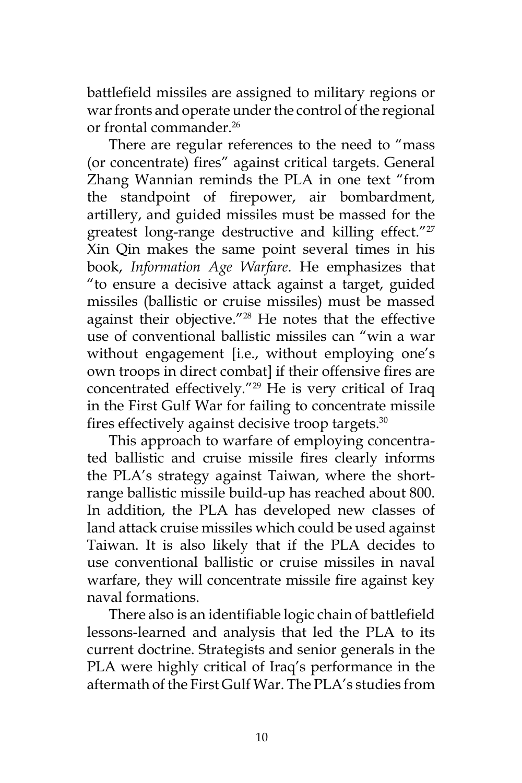battlefield missiles are assigned to military regions or war fronts and operate under the control of the regional or frontal commander.26

There are regular references to the need to "mass (or concentrate) fires" against critical targets. General Zhang Wannian reminds the PLA in one text "from the standpoint of firepower, air bombardment, artillery, and guided missiles must be massed for the greatest long-range destructive and killing effect."<sup>27</sup> Xin Qin makes the same point several times in his book, *Information Age Warfare*. He emphasizes that "to ensure a decisive attack against a target, guided missiles (ballistic or cruise missiles) must be massed against their objective."28 He notes that the effective use of conventional ballistic missiles can "win a war without engagement [i.e., without employing one's own troops in direct combat] if their offensive fires are concentrated effectively."29 He is very critical of Iraq in the First Gulf War for failing to concentrate missile fires effectively against decisive troop targets.<sup>30</sup>

This approach to warfare of employing concentrated ballistic and cruise missile fires clearly informs the PLA's strategy against Taiwan, where the shortrange ballistic missile build-up has reached about 800. In addition, the PLA has developed new classes of land attack cruise missiles which could be used against Taiwan. It is also likely that if the PLA decides to use conventional ballistic or cruise missiles in naval warfare, they will concentrate missile fire against key naval formations.

There also is an identifiable logic chain of battlefield lessons-learned and analysis that led the PLA to its current doctrine. Strategists and senior generals in the PLA were highly critical of Iraq's performance in the aftermath of the First Gulf War. The PLA's studies from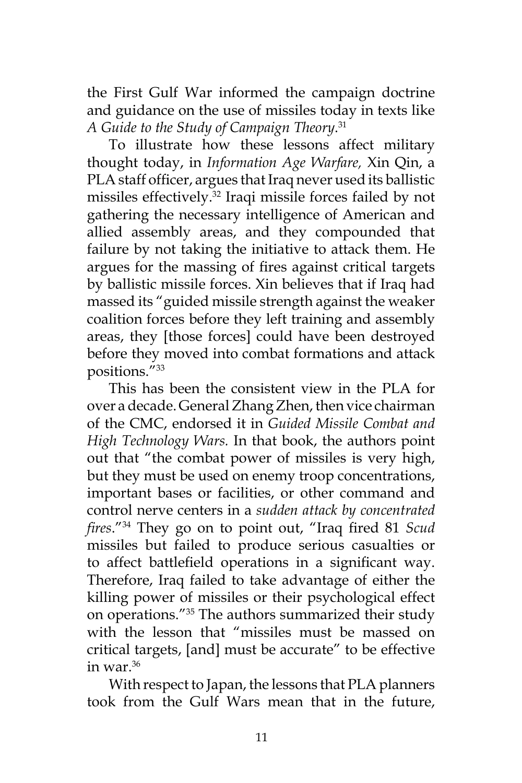the First Gulf War informed the campaign doctrine and guidance on the use of missiles today in texts like *A Guide to the Study of Campaign Theory*. 31

To illustrate how these lessons affect military thought today, in *Information Age Warfare,* Xin Qin, a PLA staff officer, argues that Iraq never used its ballistic missiles effectively.32 Iraqi missile forces failed by not gathering the necessary intelligence of American and allied assembly areas, and they compounded that failure by not taking the initiative to attack them. He argues for the massing of fires against critical targets by ballistic missile forces. Xin believes that if Iraq had massed its "guided missile strength against the weaker coalition forces before they left training and assembly areas, they [those forces] could have been destroyed before they moved into combat formations and attack positions."33

This has been the consistent view in the PLA for over a decade. General Zhang Zhen, then vice chairman of the CMC, endorsed it in *Guided Missile Combat and High Technology Wars.* In that book, the authors point out that "the combat power of missiles is very high, but they must be used on enemy troop concentrations, important bases or facilities, or other command and control nerve centers in a *sudden attack by concentrated fires*."34 They go on to point out, "Iraq fired 81 *Scud*  missiles but failed to produce serious casualties or to affect battlefield operations in a significant way. Therefore, Iraq failed to take advantage of either the killing power of missiles or their psychological effect on operations."35 The authors summarized their study with the lesson that "missiles must be massed on critical targets, [and] must be accurate" to be effective in war. $36$ 

With respect to Japan, the lessons that PLA planners took from the Gulf Wars mean that in the future,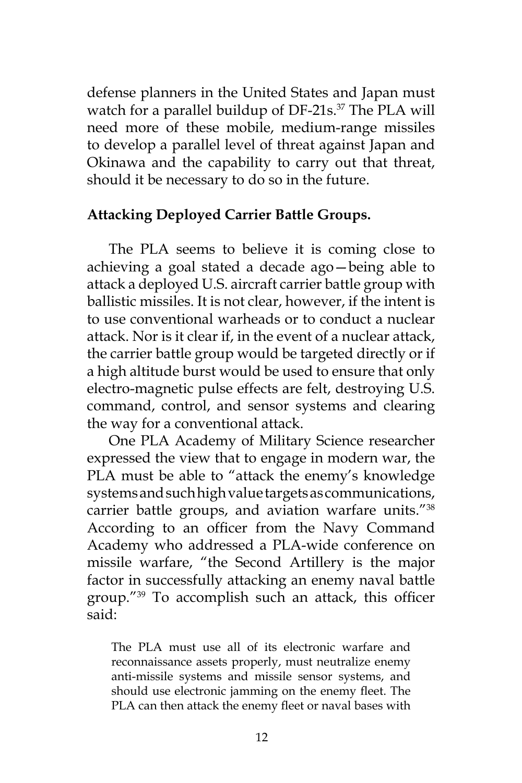defense planners in the United States and Japan must watch for a parallel buildup of DF-21s.<sup>37</sup> The PLA will need more of these mobile, medium-range missiles to develop a parallel level of threat against Japan and Okinawa and the capability to carry out that threat, should it be necessary to do so in the future.

## **Attacking Deployed Carrier Battle Groups.**

The PLA seems to believe it is coming close to achieving a goal stated a decade ago—being able to attack a deployed U.S. aircraft carrier battle group with ballistic missiles. It is not clear, however, if the intent is to use conventional warheads or to conduct a nuclear attack. Nor is it clear if, in the event of a nuclear attack, the carrier battle group would be targeted directly or if a high altitude burst would be used to ensure that only electro-magnetic pulse effects are felt, destroying U.S. command, control, and sensor systems and clearing the way for a conventional attack.

One PLA Academy of Military Science researcher expressed the view that to engage in modern war, the PLA must be able to "attack the enemy's knowledge systems and such high value targets as communications, carrier battle groups, and aviation warfare units."38 According to an officer from the Navy Command Academy who addressed a PLA-wide conference on missile warfare, "the Second Artillery is the major factor in successfully attacking an enemy naval battle group."39 To accomplish such an attack, this officer said:

The PLA must use all of its electronic warfare and reconnaissance assets properly, must neutralize enemy anti-missile systems and missile sensor systems, and should use electronic jamming on the enemy fleet. The PLA can then attack the enemy fleet or naval bases with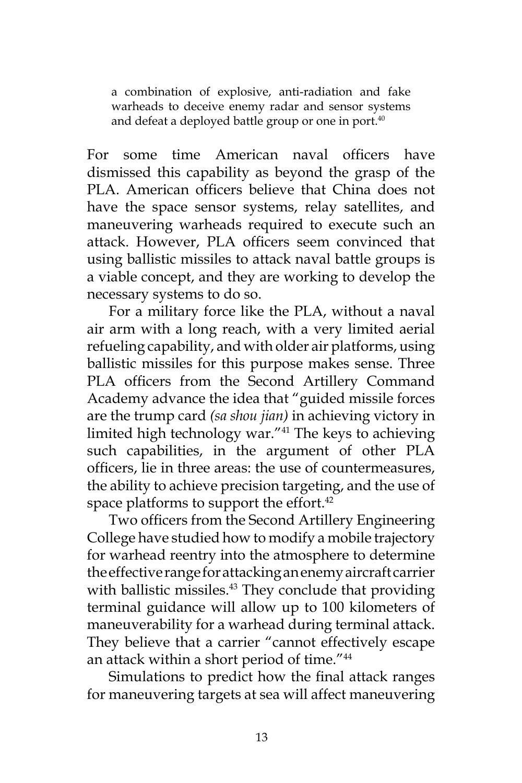a combination of explosive, anti-radiation and fake warheads to deceive enemy radar and sensor systems and defeat a deployed battle group or one in port.<sup>40</sup>

For some time American naval officers have dismissed this capability as beyond the grasp of the PLA. American officers believe that China does not have the space sensor systems, relay satellites, and maneuvering warheads required to execute such an attack. However, PLA officers seem convinced that using ballistic missiles to attack naval battle groups is a viable concept, and they are working to develop the necessary systems to do so.

For a military force like the PLA, without a naval air arm with a long reach, with a very limited aerial refueling capability, and with older air platforms, using ballistic missiles for this purpose makes sense. Three PLA officers from the Second Artillery Command Academy advance the idea that "guided missile forces are the trump card *(sa shou jian)* in achieving victory in limited high technology war."41 The keys to achieving such capabilities, in the argument of other PLA officers, lie in three areas: the use of countermeasures, the ability to achieve precision targeting, and the use of space platforms to support the effort.<sup>42</sup>

Two officers from the Second Artillery Engineering College have studied how to modify a mobile trajectory for warhead reentry into the atmosphere to determine the effective range for attacking an enemy aircraft carrier with ballistic missiles.<sup>43</sup> They conclude that providing terminal guidance will allow up to 100 kilometers of maneuverability for a warhead during terminal attack. They believe that a carrier "cannot effectively escape an attack within a short period of time."<sup>44</sup>

Simulations to predict how the final attack ranges for maneuvering targets at sea will affect maneuvering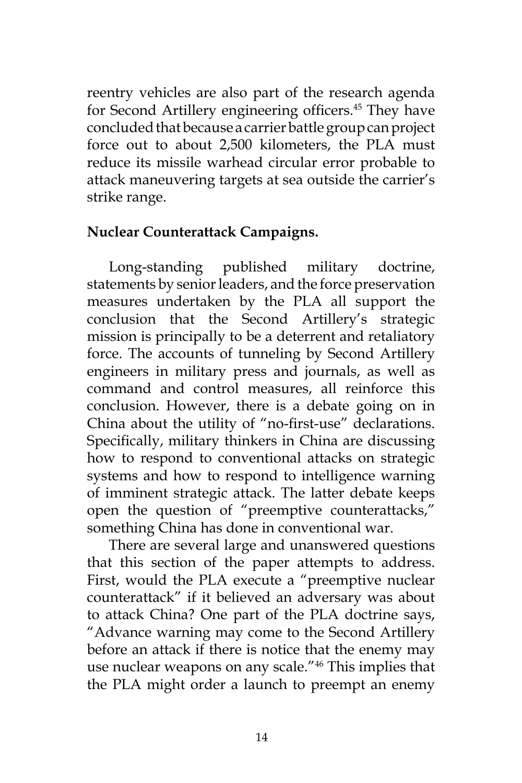reentry vehicles are also part of the research agenda for Second Artillery engineering officers.<sup>45</sup> They have concluded that because a carrier battle group can project force out to about 2,500 kilometers, the PLA must reduce its missile warhead circular error probable to attack maneuvering targets at sea outside the carrier's strike range.

#### **Nuclear Counterattack Campaigns.**

Long-standing published military doctrine, statements by senior leaders, and the force preservation measures undertaken by the PLA all support the conclusion that the Second Artillery's strategic mission is principally to be a deterrent and retaliatory force. The accounts of tunneling by Second Artillery engineers in military press and journals, as well as command and control measures, all reinforce this conclusion. However, there is a debate going on in China about the utility of "no-first-use" declarations. Specifically, military thinkers in China are discussing how to respond to conventional attacks on strategic systems and how to respond to intelligence warning of imminent strategic attack. The latter debate keeps open the question of "preemptive counterattacks," something China has done in conventional war.

There are several large and unanswered questions that this section of the paper attempts to address. First, would the PLA execute a "preemptive nuclear counterattack" if it believed an adversary was about to attack China? One part of the PLA doctrine says, "Advance warning may come to the Second Artillery before an attack if there is notice that the enemy may use nuclear weapons on any scale."46 This implies that the PLA might order a launch to preempt an enemy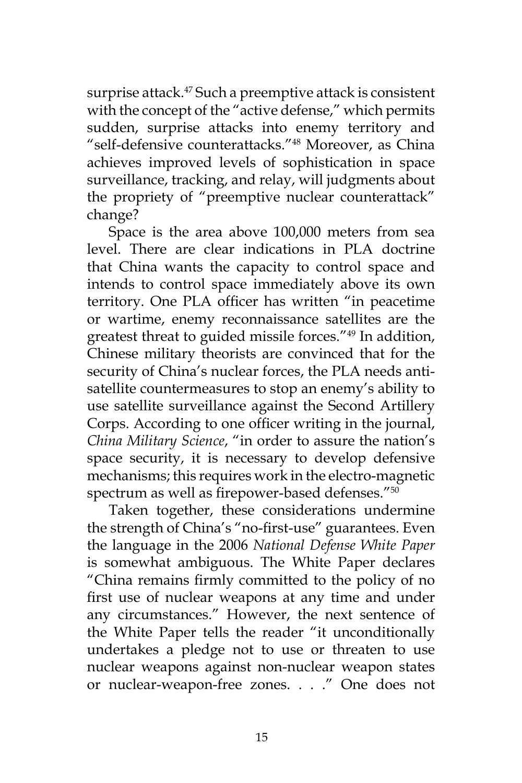surprise attack.<sup>47</sup> Such a preemptive attack is consistent with the concept of the "active defense," which permits sudden, surprise attacks into enemy territory and "self-defensive counterattacks."48 Moreover, as China achieves improved levels of sophistication in space surveillance, tracking, and relay, will judgments about the propriety of "preemptive nuclear counterattack" change?

Space is the area above 100,000 meters from sea level. There are clear indications in PLA doctrine that China wants the capacity to control space and intends to control space immediately above its own territory. One PLA officer has written "in peacetime or wartime, enemy reconnaissance satellites are the greatest threat to guided missile forces."49 In addition, Chinese military theorists are convinced that for the security of China's nuclear forces, the PLA needs antisatellite countermeasures to stop an enemy's ability to use satellite surveillance against the Second Artillery Corps. According to one officer writing in the journal, *China Military Science*, "in order to assure the nation's space security, it is necessary to develop defensive mechanisms; this requires work in the electro-magnetic spectrum as well as firepower-based defenses."<sup>50</sup>

Taken together, these considerations undermine the strength of China's "no-first-use" guarantees. Even the language in the 2006 *National Defense White Paper* is somewhat ambiguous. The White Paper declares "China remains firmly committed to the policy of no first use of nuclear weapons at any time and under any circumstances." However, the next sentence of the White Paper tells the reader "it unconditionally undertakes a pledge not to use or threaten to use nuclear weapons against non-nuclear weapon states or nuclear-weapon-free zones. . . ." One does not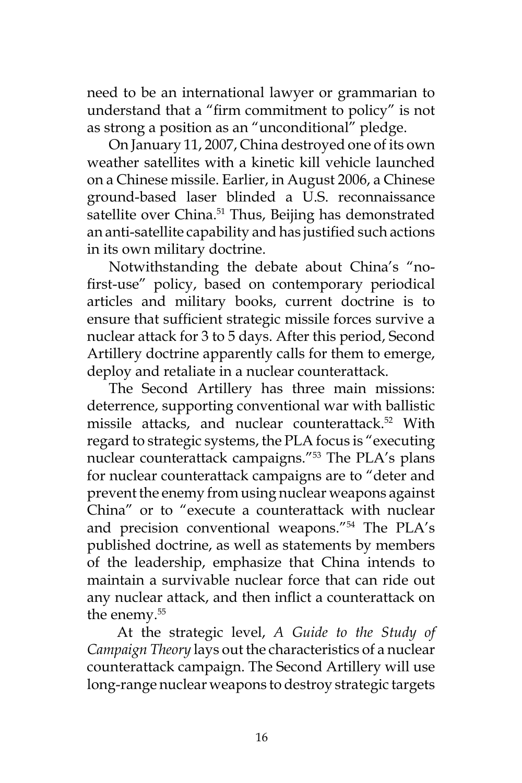need to be an international lawyer or grammarian to understand that a "firm commitment to policy" is not as strong a position as an "unconditional" pledge.

On January 11, 2007, China destroyed one of its own weather satellites with a kinetic kill vehicle launched on a Chinese missile. Earlier, in August 2006, a Chinese ground-based laser blinded a U.S. reconnaissance satellite over China.<sup>51</sup> Thus, Beijing has demonstrated an anti-satellite capability and has justified such actions in its own military doctrine.

Notwithstanding the debate about China's "nofirst-use" policy, based on contemporary periodical articles and military books, current doctrine is to ensure that sufficient strategic missile forces survive a nuclear attack for 3 to 5 days. After this period, Second Artillery doctrine apparently calls for them to emerge, deploy and retaliate in a nuclear counterattack.

The Second Artillery has three main missions: deterrence, supporting conventional war with ballistic missile attacks, and nuclear counterattack.<sup>52</sup> With regard to strategic systems, the PLA focus is "executing nuclear counterattack campaigns."53 The PLA's plans for nuclear counterattack campaigns are to "deter and prevent the enemy from using nuclear weapons against China" or to "execute a counterattack with nuclear and precision conventional weapons."54 The PLA's published doctrine, as well as statements by members of the leadership, emphasize that China intends to maintain a survivable nuclear force that can ride out any nuclear attack, and then inflict a counterattack on the enemy.<sup>55</sup>

 At the strategic level, *A Guide to the Study of Campaign Theory* lays out the characteristics of a nuclear counterattack campaign. The Second Artillery will use long-range nuclear weapons to destroy strategic targets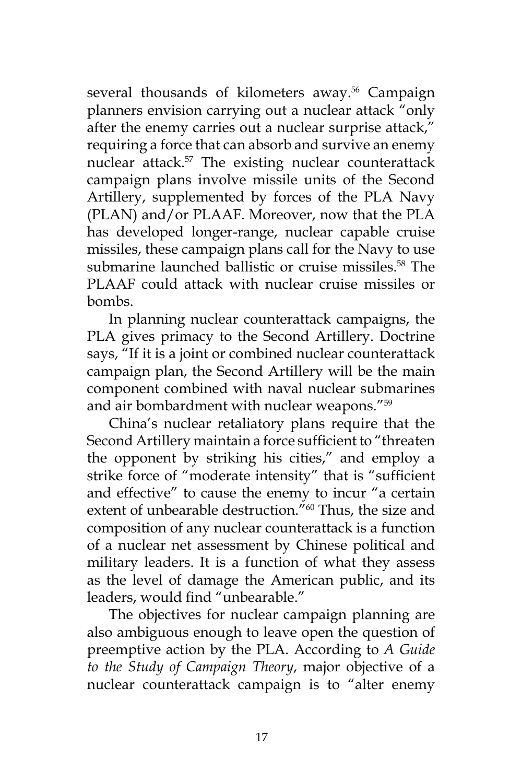several thousands of kilometers away.<sup>56</sup> Campaign planners envision carrying out a nuclear attack "only after the enemy carries out a nuclear surprise attack," requiring a force that can absorb and survive an enemy nuclear attack.57 The existing nuclear counterattack campaign plans involve missile units of the Second Artillery, supplemented by forces of the PLA Navy (PLAN) and/or PLAAF. Moreover, now that the PLA has developed longer-range, nuclear capable cruise missiles, these campaign plans call for the Navy to use submarine launched ballistic or cruise missiles.<sup>58</sup> The PLAAF could attack with nuclear cruise missiles or bombs.

In planning nuclear counterattack campaigns, the PLA gives primacy to the Second Artillery. Doctrine says, "If it is a joint or combined nuclear counterattack campaign plan, the Second Artillery will be the main component combined with naval nuclear submarines and air bombardment with nuclear weapons."59

China's nuclear retaliatory plans require that the Second Artillery maintain a force sufficient to "threaten the opponent by striking his cities," and employ a strike force of "moderate intensity" that is "sufficient and effective" to cause the enemy to incur "a certain extent of unbearable destruction."<sup>60</sup> Thus, the size and composition of any nuclear counterattack is a function of a nuclear net assessment by Chinese political and military leaders. It is a function of what they assess as the level of damage the American public, and its leaders, would find "unbearable."

The objectives for nuclear campaign planning are also ambiguous enough to leave open the question of preemptive action by the PLA. According to *A Guide to the Study of Campaign Theory*, major objective of a nuclear counterattack campaign is to "alter enemy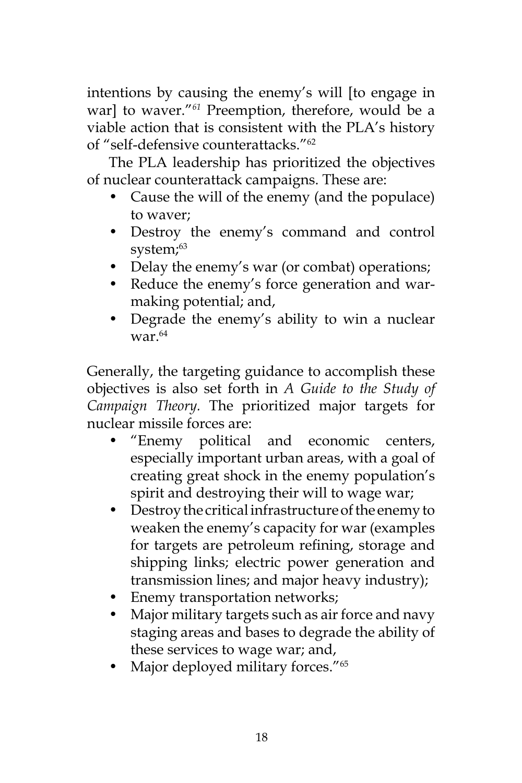intentions by causing the enemy's will [to engage in war] to waver."*<sup>61</sup>* Preemption, therefore, would be a viable action that is consistent with the PLA's history of "self-defensive counterattacks."62

The PLA leadership has prioritized the objectives of nuclear counterattack campaigns. These are:

- Cause the will of the enemy (and the populace) to waver;
- Destroy the enemy's command and control system;<sup>63</sup>
- Delay the enemy's war (or combat) operations;
- Reduce the enemy's force generation and warmaking potential; and,
- Degrade the enemy's ability to win a nuclear war. $64$

Generally, the targeting guidance to accomplish these objectives is also set forth in *A Guide to the Study of Campaign Theory.* The prioritized major targets for nuclear missile forces are:

- "Enemy political and economic centers, especially important urban areas, with a goal of creating great shock in the enemy population's spirit and destroying their will to wage war;
- Destroy the critical infrastructure of the enemy to weaken the enemy's capacity for war (examples for targets are petroleum refining, storage and shipping links; electric power generation and transmission lines; and major heavy industry);
- Enemy transportation networks;
- Major military targets such as air force and navy staging areas and bases to degrade the ability of these services to wage war; and,
- Major deployed military forces."<sup>65</sup>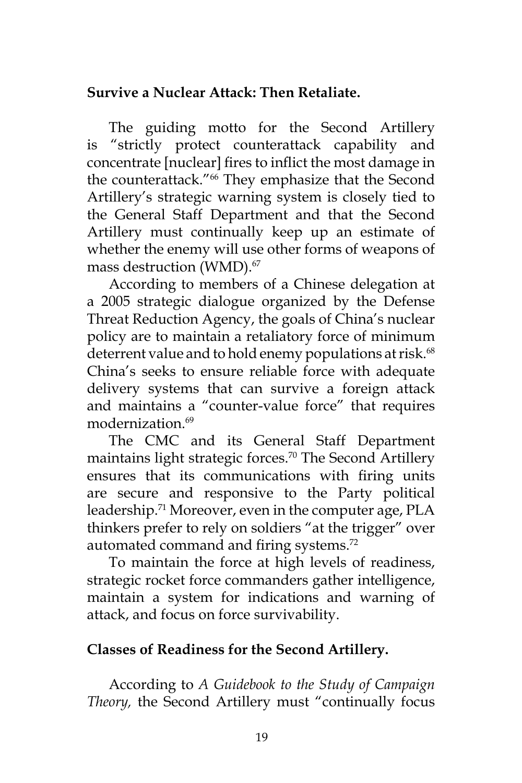# **Survive a Nuclear Attack: Then Retaliate.**

The guiding motto for the Second Artillery is "strictly protect counterattack capability and concentrate [nuclear] fires to inflict the most damage in the counterattack."<sup>66</sup> They emphasize that the Second Artillery's strategic warning system is closely tied to the General Staff Department and that the Second Artillery must continually keep up an estimate of whether the enemy will use other forms of weapons of mass destruction (WMD).<sup>67</sup>

According to members of a Chinese delegation at a 2005 strategic dialogue organized by the Defense Threat Reduction Agency, the goals of China's nuclear policy are to maintain a retaliatory force of minimum deterrent value and to hold enemy populations at risk.<sup>68</sup> China's seeks to ensure reliable force with adequate delivery systems that can survive a foreign attack and maintains a "counter-value force" that requires modernization<sup>69</sup>

The CMC and its General Staff Department maintains light strategic forces.<sup>70</sup> The Second Artillery ensures that its communications with firing units are secure and responsive to the Party political leadership.<sup>71</sup> Moreover, even in the computer age, PLA thinkers prefer to rely on soldiers "at the trigger" over automated command and firing systems.<sup>72</sup>

To maintain the force at high levels of readiness, strategic rocket force commanders gather intelligence, maintain a system for indications and warning of attack, and focus on force survivability.

# **Classes of Readiness for the Second Artillery.**

According to *A Guidebook to the Study of Campaign Theory,* the Second Artillery must "continually focus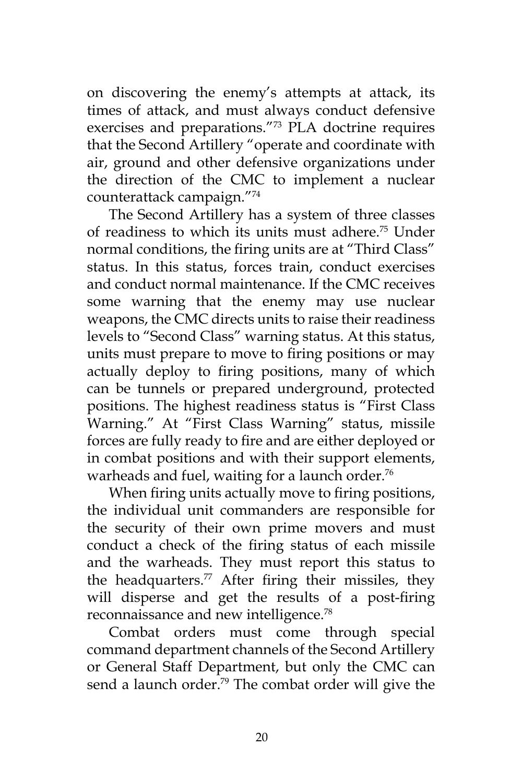on discovering the enemy's attempts at attack, its times of attack, and must always conduct defensive exercises and preparations."73 PLA doctrine requires that the Second Artillery "operate and coordinate with air, ground and other defensive organizations under the direction of the CMC to implement a nuclear counterattack campaign."74

The Second Artillery has a system of three classes of readiness to which its units must adhere.75 Under normal conditions, the firing units are at "Third Class" status. In this status, forces train, conduct exercises and conduct normal maintenance. If the CMC receives some warning that the enemy may use nuclear weapons, the CMC directs units to raise their readiness levels to "Second Class" warning status. At this status, units must prepare to move to firing positions or may actually deploy to firing positions, many of which can be tunnels or prepared underground, protected positions. The highest readiness status is "First Class Warning." At "First Class Warning" status, missile forces are fully ready to fire and are either deployed or in combat positions and with their support elements, warheads and fuel, waiting for a launch order.<sup>76</sup>

When firing units actually move to firing positions, the individual unit commanders are responsible for the security of their own prime movers and must conduct a check of the firing status of each missile and the warheads. They must report this status to the headquarters.<sup>77</sup> After firing their missiles, they will disperse and get the results of a post-firing reconnaissance and new intelligence.78

Combat orders must come through special command department channels of the Second Artillery or General Staff Department, but only the CMC can send a launch order.<sup>79</sup> The combat order will give the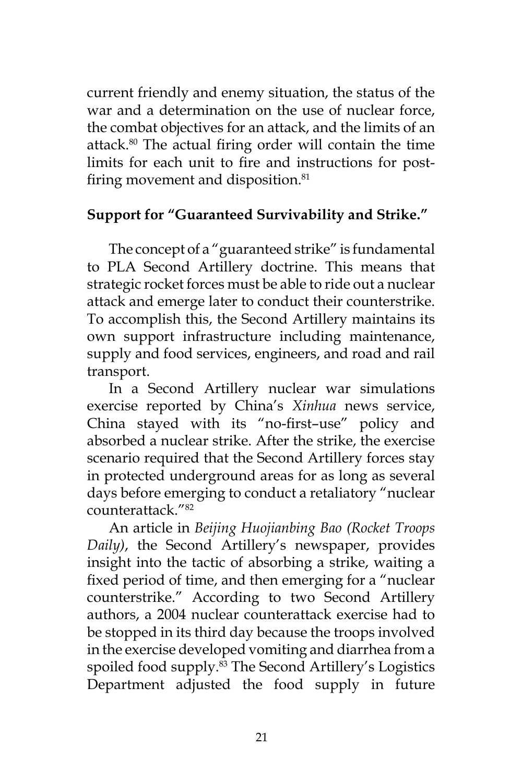current friendly and enemy situation, the status of the war and a determination on the use of nuclear force, the combat objectives for an attack, and the limits of an attack.80 The actual firing order will contain the time limits for each unit to fire and instructions for postfiring movement and disposition.<sup>81</sup>

# **Support for "Guaranteed Survivability and Strike."**

The concept of a "guaranteed strike" is fundamental to PLA Second Artillery doctrine. This means that strategic rocket forces must be able to ride out a nuclear attack and emerge later to conduct their counterstrike. To accomplish this, the Second Artillery maintains its own support infrastructure including maintenance, supply and food services, engineers, and road and rail transport.

In a Second Artillery nuclear war simulations exercise reported by China's *Xinhua* news service, China stayed with its "no-first–use" policy and absorbed a nuclear strike. After the strike, the exercise scenario required that the Second Artillery forces stay in protected underground areas for as long as several days before emerging to conduct a retaliatory "nuclear counterattack<sup>"82</sup>

An article in *Beijing Huojianbing Bao (Rocket Troops Daily)*, the Second Artillery's newspaper, provides insight into the tactic of absorbing a strike, waiting a fixed period of time, and then emerging for a "nuclear counterstrike." According to two Second Artillery authors, a 2004 nuclear counterattack exercise had to be stopped in its third day because the troops involved in the exercise developed vomiting and diarrhea from a spoiled food supply.<sup>83</sup> The Second Artillery's Logistics Department adjusted the food supply in future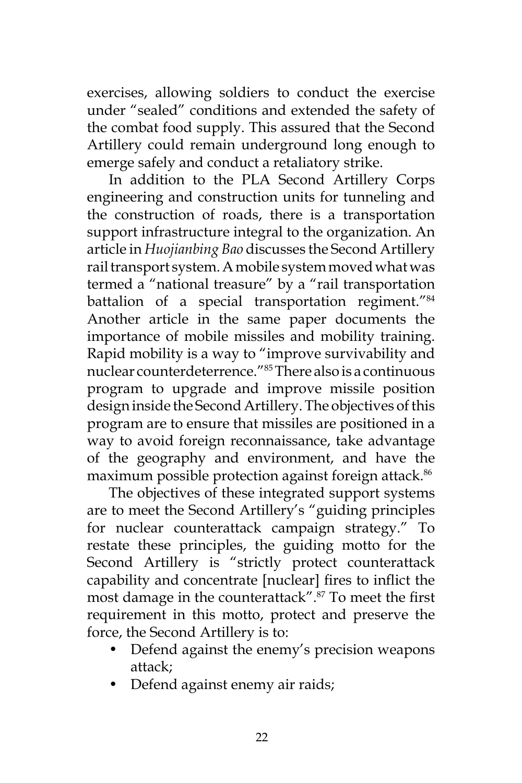exercises, allowing soldiers to conduct the exercise under "sealed" conditions and extended the safety of the combat food supply. This assured that the Second Artillery could remain underground long enough to emerge safely and conduct a retaliatory strike.

In addition to the PLA Second Artillery Corps engineering and construction units for tunneling and the construction of roads, there is a transportation support infrastructure integral to the organization. An article in *Huojianbing Bao* discusses the Second Artillery rail transport system. A mobile system moved what was termed a "national treasure" by a "rail transportation battalion of a special transportation regiment."<sup>84</sup> Another article in the same paper documents the importance of mobile missiles and mobility training. Rapid mobility is a way to "improve survivability and nuclear counterdeterrence."85 There also is a continuous program to upgrade and improve missile position design inside the Second Artillery. The objectives of this program are to ensure that missiles are positioned in a way to avoid foreign reconnaissance, take advantage of the geography and environment, and have the maximum possible protection against foreign attack.<sup>86</sup>

The objectives of these integrated support systems are to meet the Second Artillery's "guiding principles for nuclear counterattack campaign strategy." To restate these principles, the guiding motto for the Second Artillery is "strictly protect counterattack capability and concentrate [nuclear] fires to inflict the most damage in the counterattack".87 To meet the first requirement in this motto, protect and preserve the force, the Second Artillery is to:

- Defend against the enemy's precision weapons attack;
- Defend against enemy air raids;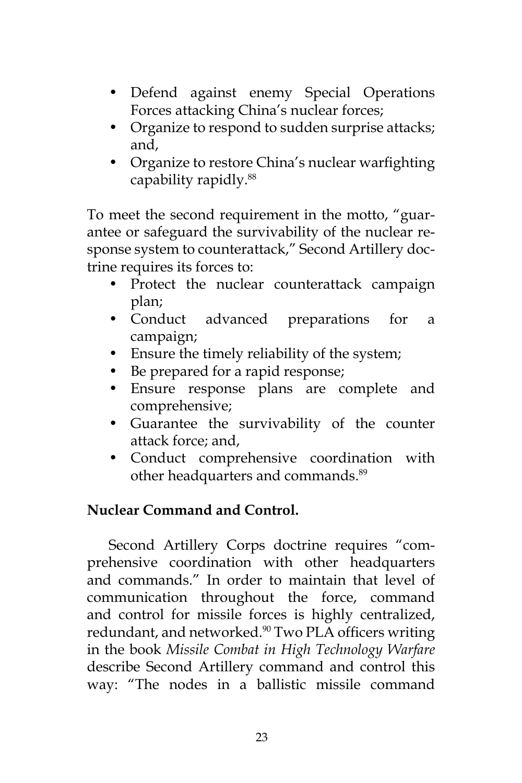- Defend against enemy Special Operations Forces attacking China's nuclear forces;
- Organize to respond to sudden surprise attacks; and,
- Organize to restore China's nuclear warfighting capability rapidly.88

To meet the second requirement in the motto, "guarantee or safeguard the survivability of the nuclear response system to counterattack," Second Artillery doctrine requires its forces to:

- Protect the nuclear counterattack campaign plan;
- Conduct advanced preparations for a campaign;
- Ensure the timely reliability of the system;
- Be prepared for a rapid response;
- Ensure response plans are complete and comprehensive;
- Guarantee the survivability of the counter attack force; and,
- Conduct comprehensive coordination with other headquarters and commands.<sup>89</sup>

# **Nuclear Command and Control.**

Second Artillery Corps doctrine requires "comprehensive coordination with other headquarters and commands." In order to maintain that level of communication throughout the force, command and control for missile forces is highly centralized, redundant, and networked.<sup>90</sup> Two PLA officers writing in the book *Missile Combat in High Technology Warfare*  describe Second Artillery command and control this way: "The nodes in a ballistic missile command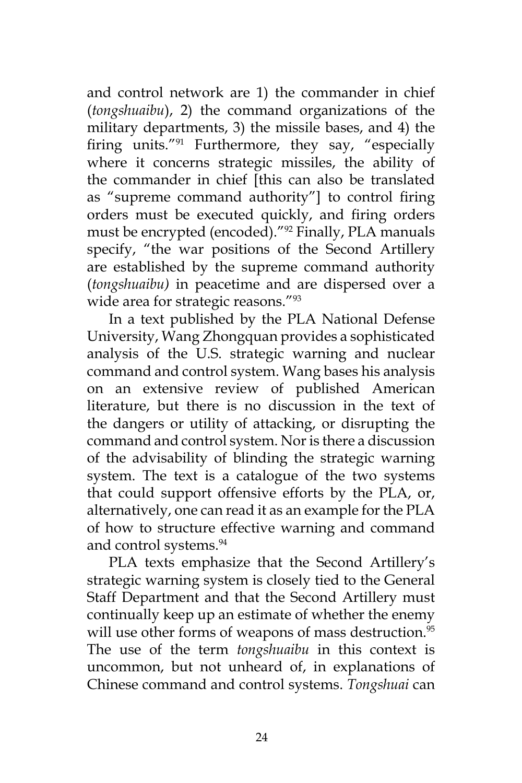and control network are 1) the commander in chief (*tongshuaibu*), 2) the command organizations of the military departments, 3) the missile bases, and 4) the firing units."91 Furthermore, they say, "especially where it concerns strategic missiles, the ability of the commander in chief [this can also be translated as "supreme command authority"] to control firing orders must be executed quickly, and firing orders must be encrypted (encoded)."92 Finally, PLA manuals specify, "the war positions of the Second Artillery are established by the supreme command authority (*tongshuaibu)* in peacetime and are dispersed over a wide area for strategic reasons."<sup>93</sup>

In a text published by the PLA National Defense University, Wang Zhongquan provides a sophisticated analysis of the U.S. strategic warning and nuclear command and control system. Wang bases his analysis on an extensive review of published American literature, but there is no discussion in the text of the dangers or utility of attacking, or disrupting the command and control system. Nor is there a discussion of the advisability of blinding the strategic warning system. The text is a catalogue of the two systems that could support offensive efforts by the PLA, or, alternatively, one can read it as an example for the PLA of how to structure effective warning and command and control systems.<sup>94</sup>

PLA texts emphasize that the Second Artillery's strategic warning system is closely tied to the General Staff Department and that the Second Artillery must continually keep up an estimate of whether the enemy will use other forms of weapons of mass destruction.<sup>95</sup> The use of the term *tongshuaibu* in this context is uncommon, but not unheard of, in explanations of Chinese command and control systems. *Tongshuai* can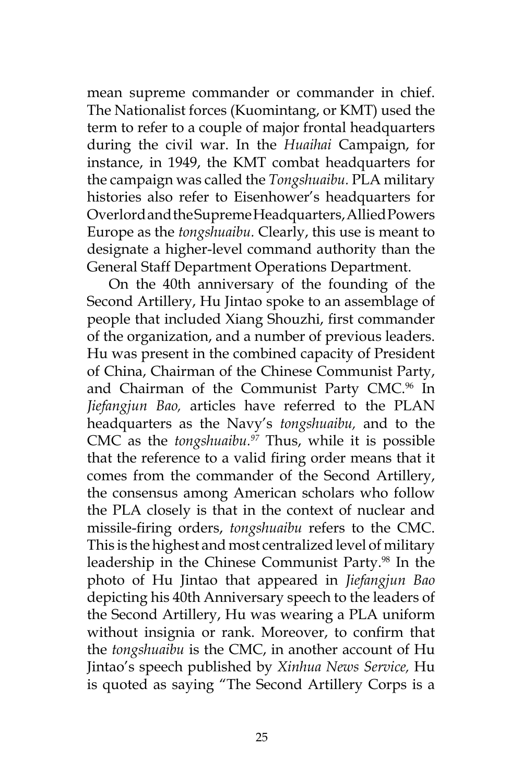mean supreme commander or commander in chief. The Nationalist forces (Kuomintang, or KMT) used the term to refer to a couple of major frontal headquarters during the civil war. In the *Huaihai* Campaign, for instance, in 1949, the KMT combat headquarters for the campaign was called the *Tongshuaibu.* PLA military histories also refer to Eisenhower's headquarters for Overlord and the Supreme Headquarters, Allied Powers Europe as the *tongshuaibu.* Clearly, this use is meant to designate a higher-level command authority than the General Staff Department Operations Department.

On the 40th anniversary of the founding of the Second Artillery, Hu Jintao spoke to an assemblage of people that included Xiang Shouzhi, first commander of the organization, and a number of previous leaders. Hu was present in the combined capacity of President of China, Chairman of the Chinese Communist Party, and Chairman of the Communist Party CMC.<sup>96</sup> In *Jiefangjun Bao,* articles have referred to the PLAN headquarters as the Navy's *tongshuaibu,* and to the CMC as the *tongshuaibu.97* Thus, while it is possible that the reference to a valid firing order means that it comes from the commander of the Second Artillery, the consensus among American scholars who follow the PLA closely is that in the context of nuclear and missile-firing orders, *tongshuaibu* refers to the CMC. This is the highest and most centralized level of military leadership in the Chinese Communist Party.<sup>98</sup> In the photo of Hu Jintao that appeared in *Jiefangjun Bao* depicting his 40th Anniversary speech to the leaders of the Second Artillery, Hu was wearing a PLA uniform without insignia or rank. Moreover, to confirm that the *tongshuaibu* is the CMC, in another account of Hu Jintao's speech published by *Xinhua News Service,* Hu is quoted as saying "The Second Artillery Corps is a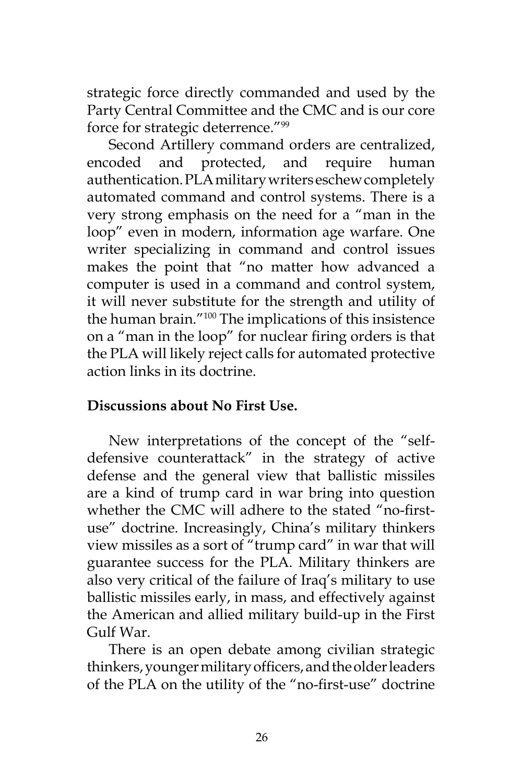strategic force directly commanded and used by the Party Central Committee and the CMC and is our core force for strategic deterrence."99

Second Artillery command orders are centralized, encoded and protected, and require human authentication. PLA military writers eschew completely automated command and control systems. There is a very strong emphasis on the need for a "man in the loop" even in modern, information age warfare. One writer specializing in command and control issues makes the point that "no matter how advanced a computer is used in a command and control system, it will never substitute for the strength and utility of the human brain."100 The implications of this insistence on a "man in the loop" for nuclear firing orders is that the PLA will likely reject calls for automated protective action links in its doctrine.

# **Discussions about No First Use.**

New interpretations of the concept of the "selfdefensive counterattack" in the strategy of active defense and the general view that ballistic missiles are a kind of trump card in war bring into question whether the CMC will adhere to the stated "no-firstuse" doctrine. Increasingly, China's military thinkers view missiles as a sort of "trump card" in war that will guarantee success for the PLA. Military thinkers are also very critical of the failure of Iraq's military to use ballistic missiles early, in mass, and effectively against the American and allied military build-up in the First Gulf War.

There is an open debate among civilian strategic thinkers, younger military officers, and the older leaders of the PLA on the utility of the "no-first-use" doctrine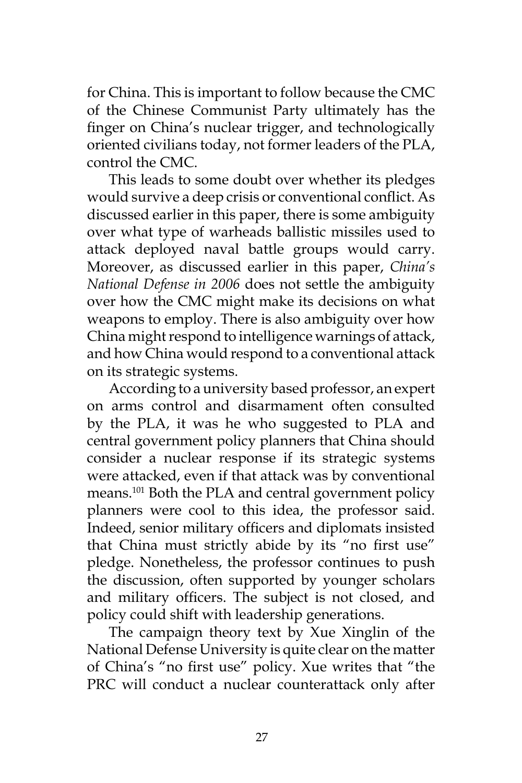for China. This is important to follow because the CMC of the Chinese Communist Party ultimately has the finger on China's nuclear trigger, and technologically oriented civilians today, not former leaders of the PLA, control the CMC.

This leads to some doubt over whether its pledges would survive a deep crisis or conventional conflict. As discussed earlier in this paper, there is some ambiguity over what type of warheads ballistic missiles used to attack deployed naval battle groups would carry. Moreover, as discussed earlier in this paper, *China's National Defense in 2006* does not settle the ambiguity over how the CMC might make its decisions on what weapons to employ. There is also ambiguity over how China might respond to intelligence warnings of attack, and how China would respond to a conventional attack on its strategic systems.

According to a university based professor, an expert on arms control and disarmament often consulted by the PLA, it was he who suggested to PLA and central government policy planners that China should consider a nuclear response if its strategic systems were attacked, even if that attack was by conventional means.101 Both the PLA and central government policy planners were cool to this idea, the professor said. Indeed, senior military officers and diplomats insisted that China must strictly abide by its "no first use" pledge. Nonetheless, the professor continues to push the discussion, often supported by younger scholars and military officers. The subject is not closed, and policy could shift with leadership generations.

The campaign theory text by Xue Xinglin of the National Defense University is quite clear on the matter of China's "no first use" policy. Xue writes that "the PRC will conduct a nuclear counterattack only after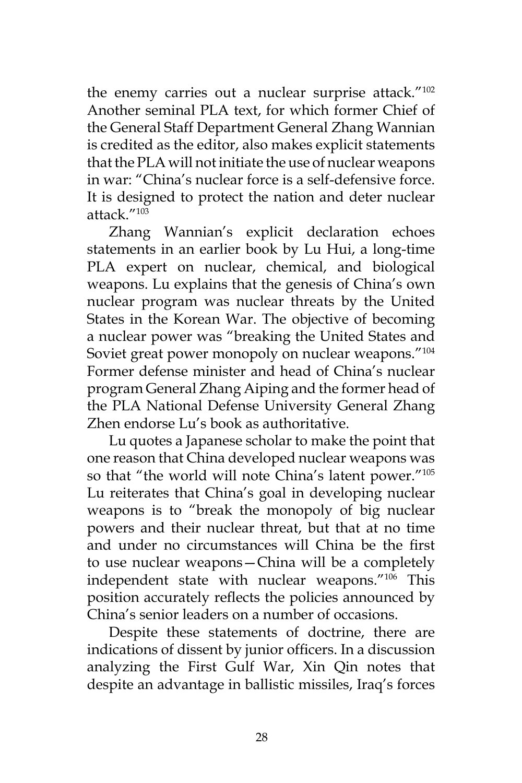the enemy carries out a nuclear surprise attack."<sup>102</sup> Another seminal PLA text, for which former Chief of the General Staff Department General Zhang Wannian is credited as the editor, also makes explicit statements that the PLA will not initiate the use of nuclear weapons in war: "China's nuclear force is a self-defensive force. It is designed to protect the nation and deter nuclear attack."103

Zhang Wannian's explicit declaration echoes statements in an earlier book by Lu Hui, a long-time PLA expert on nuclear, chemical, and biological weapons. Lu explains that the genesis of China's own nuclear program was nuclear threats by the United States in the Korean War. The objective of becoming a nuclear power was "breaking the United States and Soviet great power monopoly on nuclear weapons."<sup>104</sup> Former defense minister and head of China's nuclear program General Zhang Aiping and the former head of the PLA National Defense University General Zhang Zhen endorse Lu's book as authoritative.

Lu quotes a Japanese scholar to make the point that one reason that China developed nuclear weapons was so that "the world will note China's latent power."105 Lu reiterates that China's goal in developing nuclear weapons is to "break the monopoly of big nuclear powers and their nuclear threat, but that at no time and under no circumstances will China be the first to use nuclear weapons—China will be a completely independent state with nuclear weapons."106 This position accurately reflects the policies announced by China's senior leaders on a number of occasions.

Despite these statements of doctrine, there are indications of dissent by junior officers. In a discussion analyzing the First Gulf War, Xin Qin notes that despite an advantage in ballistic missiles, Iraq's forces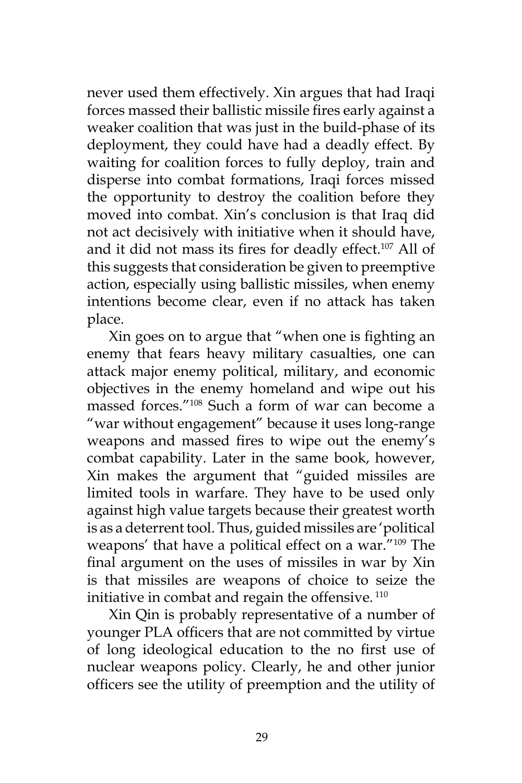never used them effectively. Xin argues that had Iraqi forces massed their ballistic missile fires early against a weaker coalition that was just in the build-phase of its deployment, they could have had a deadly effect. By waiting for coalition forces to fully deploy, train and disperse into combat formations, Iraqi forces missed the opportunity to destroy the coalition before they moved into combat. Xin's conclusion is that Iraq did not act decisively with initiative when it should have, and it did not mass its fires for deadly effect.<sup>107</sup> All of this suggests that consideration be given to preemptive action, especially using ballistic missiles, when enemy intentions become clear, even if no attack has taken place.

Xin goes on to argue that "when one is fighting an enemy that fears heavy military casualties, one can attack major enemy political, military, and economic objectives in the enemy homeland and wipe out his massed forces."108 Such a form of war can become a "war without engagement" because it uses long-range weapons and massed fires to wipe out the enemy's combat capability. Later in the same book, however, Xin makes the argument that "guided missiles are limited tools in warfare. They have to be used only against high value targets because their greatest worth is as a deterrent tool. Thus, guided missiles are 'political weapons' that have a political effect on a war."109 The final argument on the uses of missiles in war by Xin is that missiles are weapons of choice to seize the initiative in combat and regain the offensive.<sup>110</sup>

Xin Qin is probably representative of a number of younger PLA officers that are not committed by virtue of long ideological education to the no first use of nuclear weapons policy. Clearly, he and other junior officers see the utility of preemption and the utility of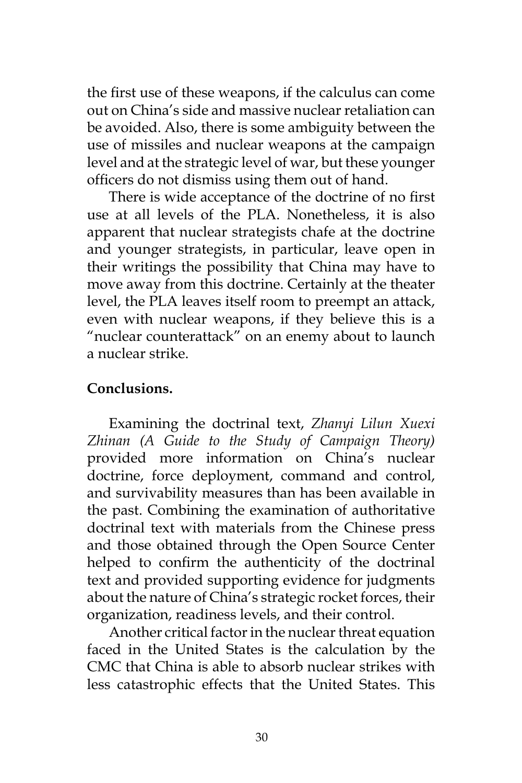the first use of these weapons, if the calculus can come out on China's side and massive nuclear retaliation can be avoided. Also, there is some ambiguity between the use of missiles and nuclear weapons at the campaign level and at the strategic level of war, but these younger officers do not dismiss using them out of hand.

There is wide acceptance of the doctrine of no first use at all levels of the PLA. Nonetheless, it is also apparent that nuclear strategists chafe at the doctrine and younger strategists, in particular, leave open in their writings the possibility that China may have to move away from this doctrine. Certainly at the theater level, the PLA leaves itself room to preempt an attack, even with nuclear weapons, if they believe this is a "nuclear counterattack" on an enemy about to launch a nuclear strike.

# **Conclusions.**

Examining the doctrinal text, *Zhanyi Lilun Xuexi Zhinan (A Guide to the Study of Campaign Theory)*  provided more information on China's nuclear doctrine, force deployment, command and control, and survivability measures than has been available in the past. Combining the examination of authoritative doctrinal text with materials from the Chinese press and those obtained through the Open Source Center helped to confirm the authenticity of the doctrinal text and provided supporting evidence for judgments about the nature of China's strategic rocket forces, their organization, readiness levels, and their control.

Another critical factor in the nuclear threat equation faced in the United States is the calculation by the CMC that China is able to absorb nuclear strikes with less catastrophic effects that the United States. This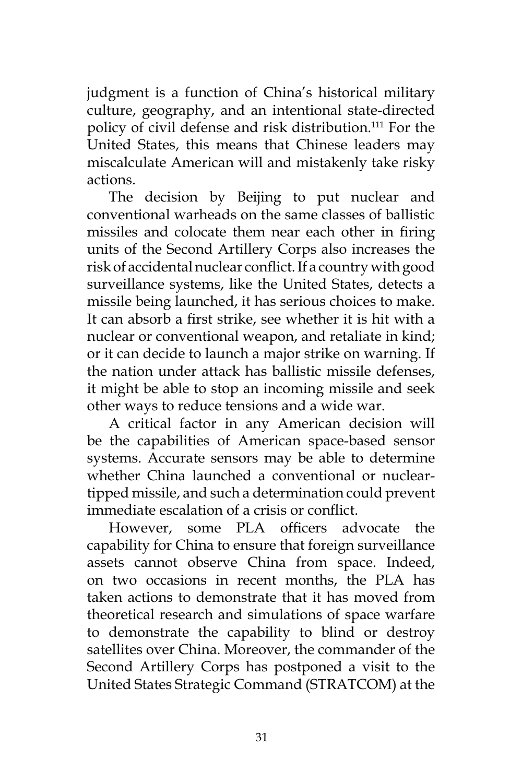judgment is a function of China's historical military culture, geography, and an intentional state-directed policy of civil defense and risk distribution.<sup>111</sup> For the United States, this means that Chinese leaders may miscalculate American will and mistakenly take risky actions.

The decision by Beijing to put nuclear and conventional warheads on the same classes of ballistic missiles and colocate them near each other in firing units of the Second Artillery Corps also increases the risk of accidental nuclear conflict. If a country with good surveillance systems, like the United States, detects a missile being launched, it has serious choices to make. It can absorb a first strike, see whether it is hit with a nuclear or conventional weapon, and retaliate in kind; or it can decide to launch a major strike on warning. If the nation under attack has ballistic missile defenses, it might be able to stop an incoming missile and seek other ways to reduce tensions and a wide war.

A critical factor in any American decision will be the capabilities of American space-based sensor systems. Accurate sensors may be able to determine whether China launched a conventional or nucleartipped missile, and such a determination could prevent immediate escalation of a crisis or conflict.

However, some PLA officers advocate the capability for China to ensure that foreign surveillance assets cannot observe China from space. Indeed, on two occasions in recent months, the PLA has taken actions to demonstrate that it has moved from theoretical research and simulations of space warfare to demonstrate the capability to blind or destroy satellites over China. Moreover, the commander of the Second Artillery Corps has postponed a visit to the United States Strategic Command (STRATCOM) at the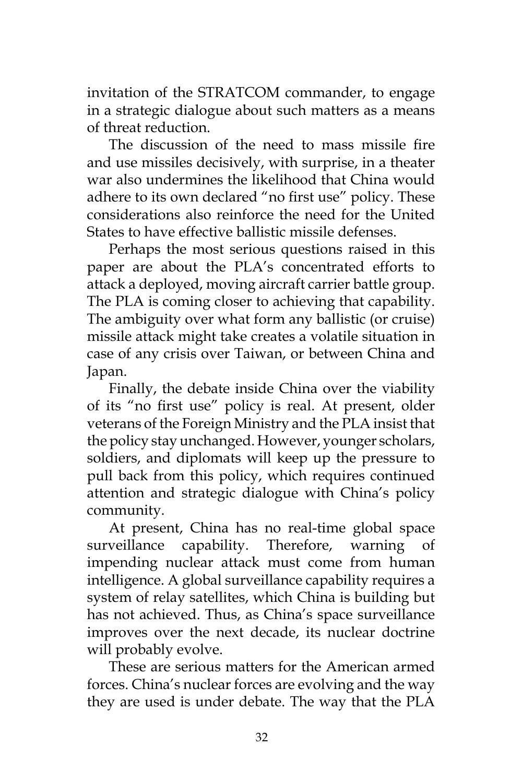invitation of the STRATCOM commander, to engage in a strategic dialogue about such matters as a means of threat reduction.

The discussion of the need to mass missile fire and use missiles decisively, with surprise, in a theater war also undermines the likelihood that China would adhere to its own declared "no first use" policy. These considerations also reinforce the need for the United States to have effective ballistic missile defenses.

Perhaps the most serious questions raised in this paper are about the PLA's concentrated efforts to attack a deployed, moving aircraft carrier battle group. The PLA is coming closer to achieving that capability. The ambiguity over what form any ballistic (or cruise) missile attack might take creates a volatile situation in case of any crisis over Taiwan, or between China and Japan.

Finally, the debate inside China over the viability of its "no first use" policy is real. At present, older veterans of the Foreign Ministry and the PLA insist that the policy stay unchanged. However, younger scholars, soldiers, and diplomats will keep up the pressure to pull back from this policy, which requires continued attention and strategic dialogue with China's policy community.

At present, China has no real-time global space surveillance capability. Therefore, warning of impending nuclear attack must come from human intelligence. A global surveillance capability requires a system of relay satellites, which China is building but has not achieved. Thus, as China's space surveillance improves over the next decade, its nuclear doctrine will probably evolve.

These are serious matters for the American armed forces. China's nuclear forces are evolving and the way they are used is under debate. The way that the PLA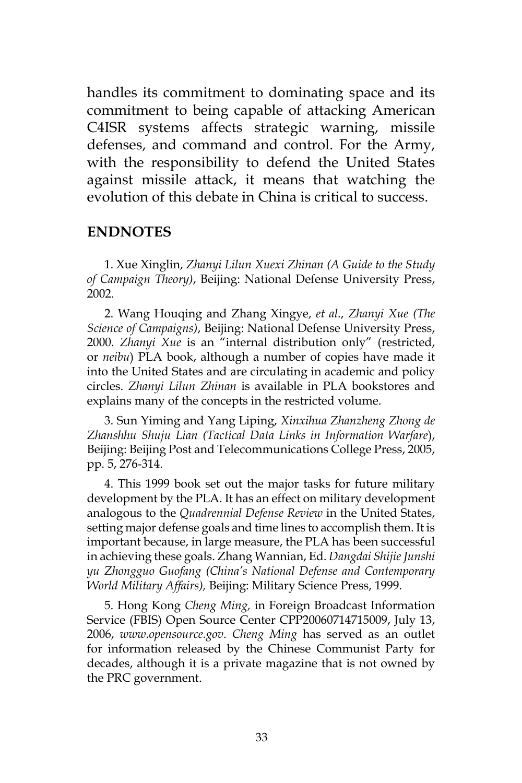handles its commitment to dominating space and its commitment to being capable of attacking American C4ISR systems affects strategic warning, missile defenses, and command and control. For the Army, with the responsibility to defend the United States against missile attack, it means that watching the evolution of this debate in China is critical to success.

#### **Endnotes**

1. Xue Xinglin, *Zhanyi Lilun Xuexi Zhinan (A Guide to the Study of Campaign Theory)*, Beijing: National Defense University Press, 2002.

2. Wang Houqing and Zhang Xingye, *et al*., *Zhanyi Xue (The Science of Campaigns)*, Beijing: National Defense University Press, 2000. *Zhanyi Xue* is an "internal distribution only" (restricted, or *neibu*) PLA book, although a number of copies have made it into the United States and are circulating in academic and policy circles. *Zhanyi Lilun Zhinan* is available in PLA bookstores and explains many of the concepts in the restricted volume.

3. Sun Yiming and Yang Liping, *Xinxihua Zhanzheng Zhong de Zhanshhu Shuju Lian (Tactical Data Links in Information Warfare*), Beijing: Beijing Post and Telecommunications College Press, 2005, pp. 5, 276-314.

4. This 1999 book set out the major tasks for future military development by the PLA. It has an effect on military development analogous to the *Quadrennial Defense Review* in the United States, setting major defense goals and time lines to accomplish them. It is important because, in large measure, the PLA has been successful in achieving these goals. Zhang Wannian, Ed. *Dangdai Shijie Junshi yu Zhongguo Guofang (China's National Defense and Contemporary World Military Affairs),* Beijing: Military Science Press, 1999.

5. Hong Kong *Cheng Ming,* in Foreign Broadcast Information Service (FBIS) Open Source Center CPP20060714715009, July 13, 2006, *www.opensource.gov*. *Cheng Ming* has served as an outlet for information released by the Chinese Communist Party for decades, although it is a private magazine that is not owned by the PRC government.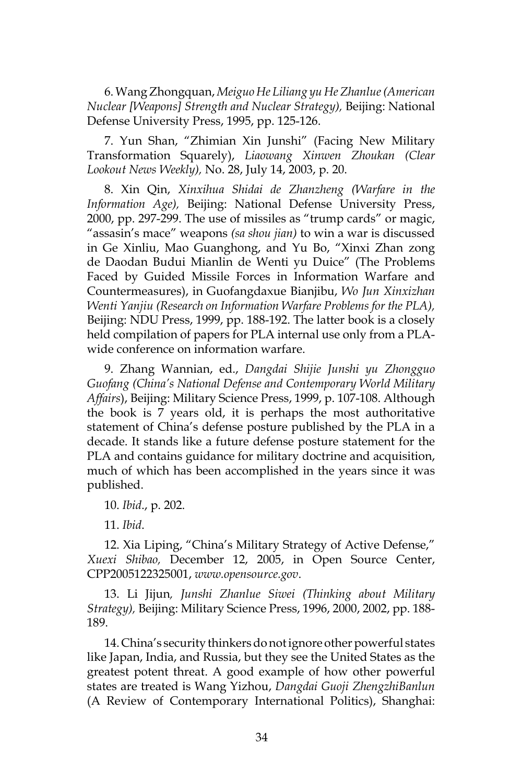6. Wang Zhongquan, *Meiguo He Liliang yu He Zhanlue (American Nuclear [Weapons] Strength and Nuclear Strategy),* Beijing: National Defense University Press, 1995, pp. 125-126.

7. Yun Shan, "Zhimian Xin Junshi" (Facing New Military Transformation Squarely), *Liaowang Xinwen Zhoukan (Clear Lookout News Weekly),* No. 28, July 14, 2003, p. 20.

8. Xin Qin, *Xinxihua Shidai de Zhanzheng (Warfare in the Information Age),* Beijing: National Defense University Press, 2000, pp. 297-299. The use of missiles as "trump cards" or magic, "assasin's mace" weapons *(sa shou jian)* to win a war is discussed in Ge Xinliu, Mao Guanghong, and Yu Bo, "Xinxi Zhan zong de Daodan Budui Mianlin de Wenti yu Duice" (The Problems Faced by Guided Missile Forces in Information Warfare and Countermeasures), in Guofangdaxue Bianjibu, *Wo Jun Xinxizhan Wenti Yanjiu (Research on Information Warfare Problems for the PLA),*  Beijing: NDU Press, 1999, pp. 188-192. The latter book is a closely held compilation of papers for PLA internal use only from a PLAwide conference on information warfare.

9. Zhang Wannian, ed., *Dangdai Shijie Junshi yu Zhongguo Guofang (China's National Defense and Contemporary World Military Affairs*), Beijing: Military Science Press, 1999, p. 107-108. Although the book is 7 years old, it is perhaps the most authoritative statement of China's defense posture published by the PLA in a decade. It stands like a future defense posture statement for the PLA and contains guidance for military doctrine and acquisition, much of which has been accomplished in the years since it was published.

10. *Ibid*., p. 202.

11. *Ibid*.

12. Xia Liping, "China's Military Strategy of Active Defense," *Xuexi Shibao,* December 12, 2005, in Open Source Center, CPP2005122325001, *www.opensource.gov*.

13. Li Jijun*, Junshi Zhanlue Siwei (Thinking about Military Strategy),* Beijing: Military Science Press, 1996, 2000, 2002, pp. 188- 189.

14. China's security thinkers do not ignore other powerful states like Japan, India, and Russia, but they see the United States as the greatest potent threat. A good example of how other powerful states are treated is Wang Yizhou, *Dangdai Guoji ZhengzhiBanlun* (A Review of Contemporary International Politics), Shanghai: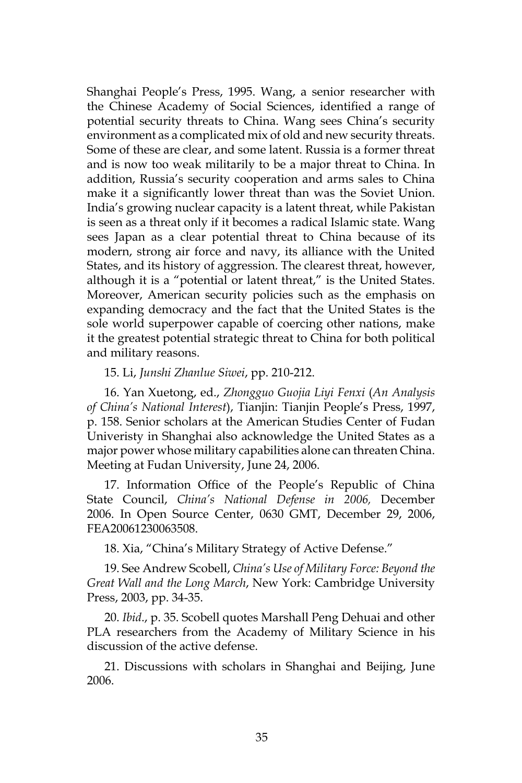Shanghai People's Press, 1995. Wang, a senior researcher with the Chinese Academy of Social Sciences, identified a range of potential security threats to China. Wang sees China's security environment as a complicated mix of old and new security threats. Some of these are clear, and some latent. Russia is a former threat and is now too weak militarily to be a major threat to China. In addition, Russia's security cooperation and arms sales to China make it a significantly lower threat than was the Soviet Union. India's growing nuclear capacity is a latent threat, while Pakistan is seen as a threat only if it becomes a radical Islamic state. Wang sees Japan as a clear potential threat to China because of its modern, strong air force and navy, its alliance with the United States, and its history of aggression. The clearest threat, however, although it is a "potential or latent threat," is the United States. Moreover, American security policies such as the emphasis on expanding democracy and the fact that the United States is the sole world superpower capable of coercing other nations, make it the greatest potential strategic threat to China for both political and military reasons.

#### 15. Li, *Junshi Zhanlue Siwei*, pp. 210-212.

16. Yan Xuetong, ed., *Zhongguo Guojia Liyi Fenxi* (*An Analysis of China's National Interest*), Tianjin: Tianjin People's Press, 1997, p. 158. Senior scholars at the American Studies Center of Fudan Univeristy in Shanghai also acknowledge the United States as a major power whose military capabilities alone can threaten China. Meeting at Fudan University, June 24, 2006.

17. Information Office of the People's Republic of China State Council, *China's National Defense in 2006,* December 2006. In Open Source Center, 0630 GMT, December 29, 2006, FEA20061230063508.

18. Xia, "China's Military Strategy of Active Defense."

19. See Andrew Scobell, *China's Use of Military Force: Beyond the Great Wall and the Long March*, New York: Cambridge University Press, 2003, pp. 34-35.

20. *Ibid*., p. 35. Scobell quotes Marshall Peng Dehuai and other PLA researchers from the Academy of Military Science in his discussion of the active defense.

21. Discussions with scholars in Shanghai and Beijing, June 2006.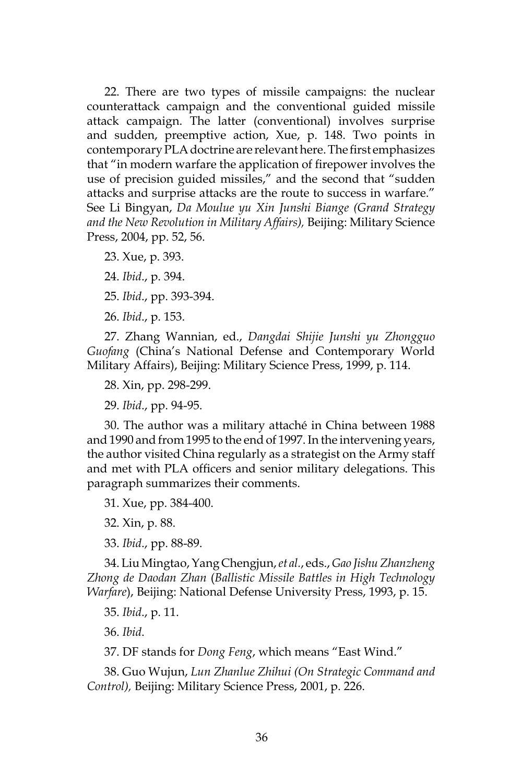22. There are two types of missile campaigns: the nuclear counterattack campaign and the conventional guided missile attack campaign. The latter (conventional) involves surprise and sudden, preemptive action, Xue, p. 148. Two points in contemporary PLA doctrine are relevant here. The first emphasizes that "in modern warfare the application of firepower involves the use of precision guided missiles," and the second that "sudden attacks and surprise attacks are the route to success in warfare." See Li Bingyan, *Da Moulue yu Xin Junshi Biange (Grand Strategy and the New Revolution in Military Affairs),* Beijing: Military Science Press, 2004, pp. 52, 56.

23. Xue, p. 393.

24. *Ibid*., p. 394.

25. *Ibid*., pp. 393-394.

26. *Ibid*., p. 153.

27. Zhang Wannian, ed., *Dangdai Shijie Junshi yu Zhongguo Guofang* (China's National Defense and Contemporary World Military Affairs), Beijing: Military Science Press, 1999, p. 114.

28. Xin, pp. 298-299.

29. *Ibid*., pp. 94-95.

30. The author was a military attaché in China between 1988 and 1990 and from 1995 to the end of 1997. In the intervening years, the author visited China regularly as a strategist on the Army staff and met with PLA officers and senior military delegations. This paragraph summarizes their comments.

31. Xue, pp. 384-400.

32. Xin, p. 88.

33. *Ibid*., pp. 88-89.

34. Liu Mingtao, Yang Chengjun, *et al.*, eds., *Gao Jishu Zhanzheng Zhong de Daodan Zhan* (*Ballistic Missile Battles in High Technology Warfare*), Beijing: National Defense University Press, 1993, p. 15.

35. *Ibid*., p. 11.

36. *Ibid*.

37. DF stands for *Dong Feng*, which means "East Wind."

38. Guo Wujun, *Lun Zhanlue Zhihui (On Strategic Command and Control),* Beijing: Military Science Press, 2001, p. 226.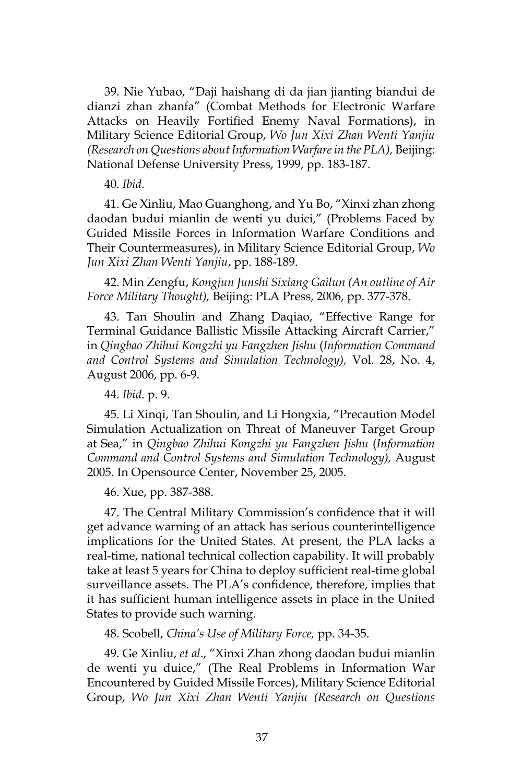39. Nie Yubao, "Daji haishang di da jian jianting biandui de dianzi zhan zhanfa" (Combat Methods for Electronic Warfare Attacks on Heavily Fortified Enemy Naval Formations), in Military Science Editorial Group, *Wo Jun Xixi Zhan Wenti Yanjiu (Research on Questions about Information Warfare in the PLA),* Beijing: National Defense University Press, 1999, pp. 183-187.

40. *Ibid*.

41. Ge Xinliu, Mao Guanghong, and Yu Bo, "Xinxi zhan zhong daodan budui mianlin de wenti yu duici," (Problems Faced by Guided Missile Forces in Information Warfare Conditions and Their Countermeasures), in Military Science Editorial Group, *Wo Jun Xixi Zhan Wenti Yanjiu*, pp. 188-189.

42. Min Zengfu, *Kongjun Junshi Sixiang Gailun (An outline of Air Force Military Thought),* Beijing: PLA Press, 2006, pp. 377-378.

43. Tan Shoulin and Zhang Daqiao, "Effective Range for Terminal Guidance Ballistic Missile Attacking Aircraft Carrier," in *Qingbao Zhihui Kongzhi yu Fangzhen Jishu* (*Information Command and Control Systems and Simulation Technology),* Vol. 28, No. 4, August 2006, pp. 6-9.

44. *Ibid*. p. 9.

45. Li Xinqi, Tan Shoulin, and Li Hongxia, "Precaution Model Simulation Actualization on Threat of Maneuver Target Group at Sea," in *Qingbao Zhihui Kongzhi yu Fangzhen Jishu* (*Information Command and Control Systems and Simulation Technology),* August 2005. In Opensource Center, November 25, 2005.

46. Xue, pp. 387-388.

47. The Central Military Commission's confidence that it will get advance warning of an attack has serious counterintelligence implications for the United States. At present, the PLA lacks a real-time, national technical collection capability. It will probably take at least 5 years for China to deploy sufficient real-time global surveillance assets. The PLA's confidence, therefore, implies that it has sufficient human intelligence assets in place in the United States to provide such warning.

48. Scobell, *China's Use of Military Force,* pp. 34-35.

49. Ge Xinliu, *et al*., "Xinxi Zhan zhong daodan budui mianlin de wenti yu duice," (The Real Problems in Information War Encountered by Guided Missile Forces), Military Science Editorial Group, *Wo Jun Xixi Zhan Wenti Yanjiu (Research on Questions*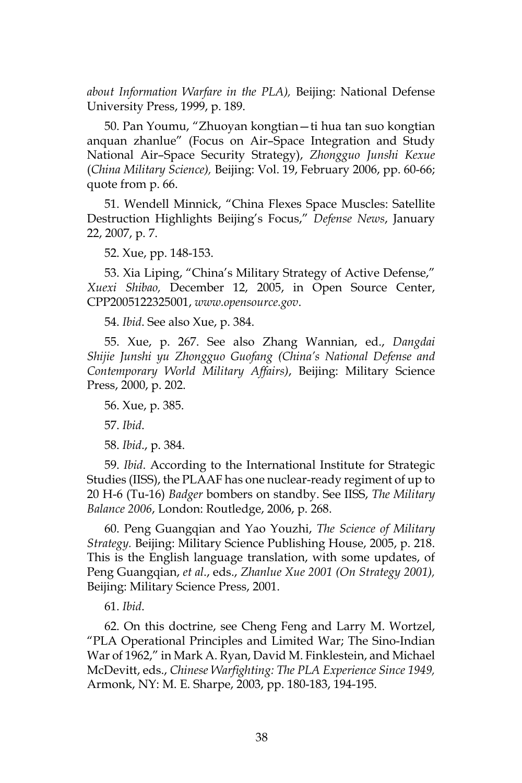*about Information Warfare in the PLA),* Beijing: National Defense University Press, 1999, p. 189.

50. Pan Youmu, "Zhuoyan kongtian—ti hua tan suo kongtian anquan zhanlue" (Focus on Air–Space Integration and Study National Air–Space Security Strategy), *Zhongguo Junshi Kexue*  (*China Military Science),* Beijing: Vol. 19, February 2006, pp. 60-66; quote from p. 66.

51. Wendell Minnick, "China Flexes Space Muscles: Satellite Destruction Highlights Beijing's Focus," *Defense News*, January 22, 2007, p. 7.

52. Xue, pp. 148-153.

53. Xia Liping, "China's Military Strategy of Active Defense," *Xuexi Shibao,* December 12, 2005, in Open Source Center, CPP2005122325001, *www.opensource.gov*.

54. *Ibid*. See also Xue, p. 384.

55. Xue, p. 267. See also Zhang Wannian, ed., *Dangdai Shijie Junshi yu Zhongguo Guofang (China's National Defense and Contemporary World Military Affairs)*, Beijing: Military Science Press, 2000, p. 202.

56. Xue, p. 385.

57. *Ibid*.

58. *Ibid*., p. 384.

59. *Ibid*. According to the International Institute for Strategic Studies (IISS), the PLAAF has one nuclear-ready regiment of up to 20 H-6 (Tu-16) *Badger* bombers on standby. See IISS, *The Military Balance 2006*, London: Routledge, 2006, p. 268.

60. Peng Guangqian and Yao Youzhi, *The Science of Military Strategy.* Beijing: Military Science Publishing House, 2005, p. 218. This is the English language translation, with some updates, of Peng Guangqian, *et al*., eds., *Zhanlue Xue 2001 (On Strategy 2001),*  Beijing: Military Science Press, 2001.

61. *Ibid*.

62. On this doctrine, see Cheng Feng and Larry M. Wortzel, "PLA Operational Principles and Limited War; The Sino-Indian War of 1962," in Mark A. Ryan, David M. Finklestein, and Michael McDevitt, eds., *Chinese Warfighting: The PLA Experience Since 1949,*  Armonk, NY: M. E. Sharpe, 2003, pp. 180-183, 194-195.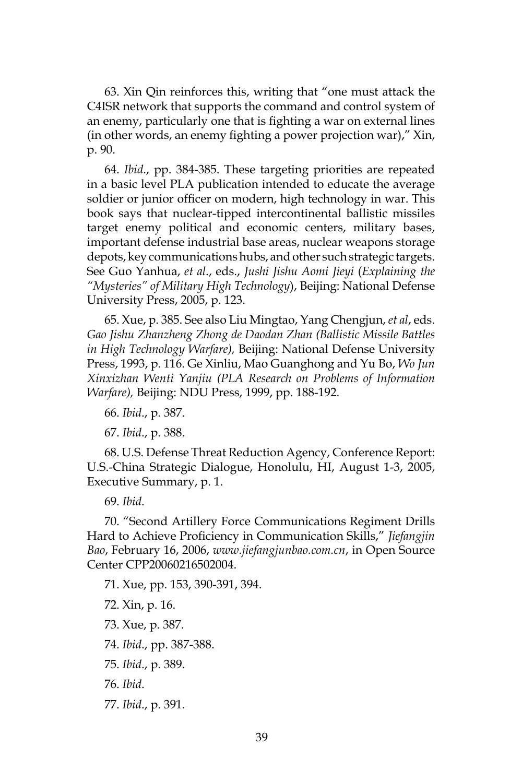63. Xin Qin reinforces this, writing that "one must attack the C4ISR network that supports the command and control system of an enemy, particularly one that is fighting a war on external lines (in other words, an enemy fighting a power projection war)," Xin, p. 90.

64. *Ibid*., pp. 384-385. These targeting priorities are repeated in a basic level PLA publication intended to educate the average soldier or junior officer on modern, high technology in war. This book says that nuclear-tipped intercontinental ballistic missiles target enemy political and economic centers, military bases, important defense industrial base areas, nuclear weapons storage depots, key communications hubs, and other such strategic targets. See Guo Yanhua, *et al*., eds., *Jushi Jishu Aomi Jieyi* (*Explaining the "Mysteries" of Military High Technology*), Beijing: National Defense University Press, 2005, p. 123.

65. Xue, p. 385. See also Liu Mingtao, Yang Chengjun, *et al*, eds. *Gao Jishu Zhanzheng Zhong de Daodan Zhan (Ballistic Missile Battles in High Technology Warfare),* Beijing: National Defense University Press, 1993, p. 116. Ge Xinliu, Mao Guanghong and Yu Bo, *Wo Jun Xinxizhan Wenti Yanjiu (PLA Research on Problems of Information Warfare),* Beijing: NDU Press, 1999, pp. 188-192.

66. *Ibid*., p. 387.

67. *Ibid*., p. 388.

68. U.S. Defense Threat Reduction Agency, Conference Report: U.S.-China Strategic Dialogue, Honolulu, HI, August 1-3, 2005, Executive Summary, p. 1.

69. *Ibid*.

70. "Second Artillery Force Communications Regiment Drills Hard to Achieve Proficiency in Communication Skills," *Jiefangjin Bao*, February 16, 2006, *www.jiefangjunbao.com.cn*, in Open Source Center CPP20060216502004.

71. Xue, pp. 153, 390-391, 394. 72. Xin, p. 16. 73. Xue, p. 387. 74. *Ibid*., pp. 387-388. 75. *Ibid*., p. 389. 76. *Ibid*. 77. *Ibid*., p. 391.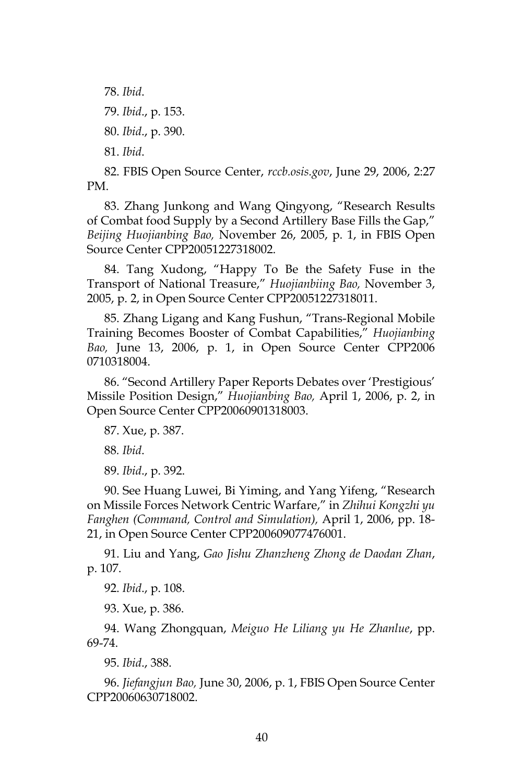78. *Ibid*.

79. *Ibid*., p. 153.

80. *Ibid*., p. 390.

81. *Ibid*.

82. FBIS Open Source Center, *rccb.osis.gov*, June 29, 2006, 2:27 PM.

83. Zhang Junkong and Wang Qingyong, "Research Results of Combat food Supply by a Second Artillery Base Fills the Gap," *Beijing Huojianbing Bao,* November 26, 2005, p. 1, in FBIS Open Source Center CPP20051227318002.

84. Tang Xudong, "Happy To Be the Safety Fuse in the Transport of National Treasure," *Huojianbiing Bao,* November 3, 2005, p. 2, in Open Source Center CPP20051227318011.

85. Zhang Ligang and Kang Fushun, "Trans-Regional Mobile Training Becomes Booster of Combat Capabilities," *Huojianbing Bao,* June 13, 2006, p. 1, in Open Source Center CPP2006 0710318004.

86. "Second Artillery Paper Reports Debates over 'Prestigious' Missile Position Design," *Huojianbing Bao,* April 1, 2006, p. 2, in Open Source Center CPP20060901318003.

87. Xue, p. 387.

88*. Ibid*.

89. *Ibid*., p. 392.

90. See Huang Luwei, Bi Yiming, and Yang Yifeng, "Research on Missile Forces Network Centric Warfare," in *Zhihui Kongzhi yu Fanghen (Command, Control and Simulation),* April 1, 2006, pp. 18- 21, in Open Source Center CPP200609077476001.

91. Liu and Yang, *Gao Jishu Zhanzheng Zhong de Daodan Zhan*, p. 107.

92. *Ibid*., p. 108.

93. Xue, p. 386.

94. Wang Zhongquan, *Meiguo He Liliang yu He Zhanlue*, pp. 69-74.

95. *Ibid*., 388.

96. *Jiefangjun Bao,* June 30, 2006, p. 1, FBIS Open Source Center CPP20060630718002.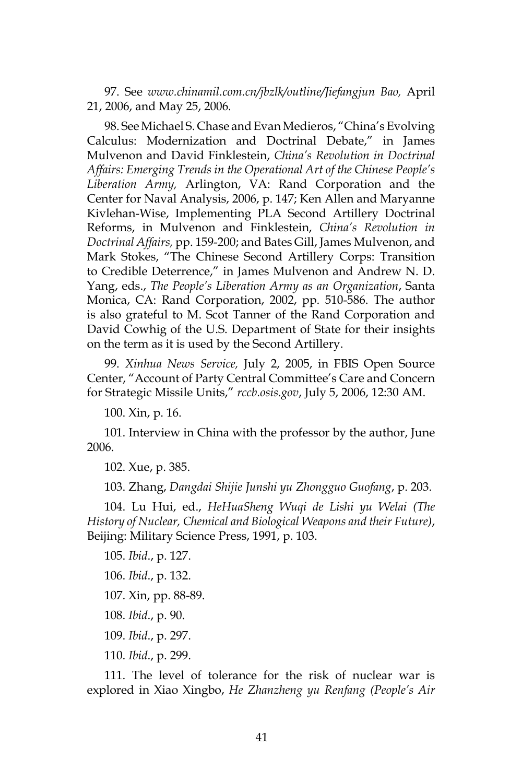97. See *www.chinamil.com.cn/jbzlk/outline/Jiefangjun Bao,* April 21, 2006, and May 25, 2006*.*

98. See Michael S. Chase and Evan Medieros, "China's Evolving Calculus: Modernization and Doctrinal Debate," in James Mulvenon and David Finklestein, *China's Revolution in Doctrinal Affairs: Emerging Trends in the Operational Art of the Chinese People's Liberation Army,* Arlington, VA: Rand Corporation and the Center for Naval Analysis, 2006, p. 147; Ken Allen and Maryanne Kivlehan-Wise, Implementing PLA Second Artillery Doctrinal Reforms, in Mulvenon and Finklestein, *China's Revolution in Doctrinal Affairs,* pp. 159-200; and Bates Gill, James Mulvenon, and Mark Stokes, "The Chinese Second Artillery Corps: Transition to Credible Deterrence," in James Mulvenon and Andrew N. D. Yang, eds., *The People's Liberation Army as an Organization*, Santa Monica, CA: Rand Corporation, 2002, pp. 510-586. The author is also grateful to M. Scot Tanner of the Rand Corporation and David Cowhig of the U.S. Department of State for their insights on the term as it is used by the Second Artillery.

99. *Xinhua News Service,* July 2, 2005, in FBIS Open Source Center, "Account of Party Central Committee's Care and Concern for Strategic Missile Units," *rccb.osis.gov*, July 5, 2006, 12:30 AM.

100. Xin, p. 16.

101. Interview in China with the professor by the author, June 2006.

102. Xue, p. 385.

103. Zhang, *Dangdai Shijie Junshi yu Zhongguo Guofang*, p. 203.

104. Lu Hui, ed., *HeHuaSheng Wuqi de Lishi yu Welai (The History of Nuclear, Chemical and Biological Weapons and their Future)*, Beijing: Military Science Press, 1991, p. 103.

105. *Ibid*., p. 127.

- 106. *Ibid*., p. 132.
- 107. Xin, pp. 88-89.
- 108. *Ibid*., p. 90.
- 109. *Ibid*., p. 297.
- 110. *Ibid*., p. 299.

111. The level of tolerance for the risk of nuclear war is explored in Xiao Xingbo, *He Zhanzheng yu Renfang (People's Air*